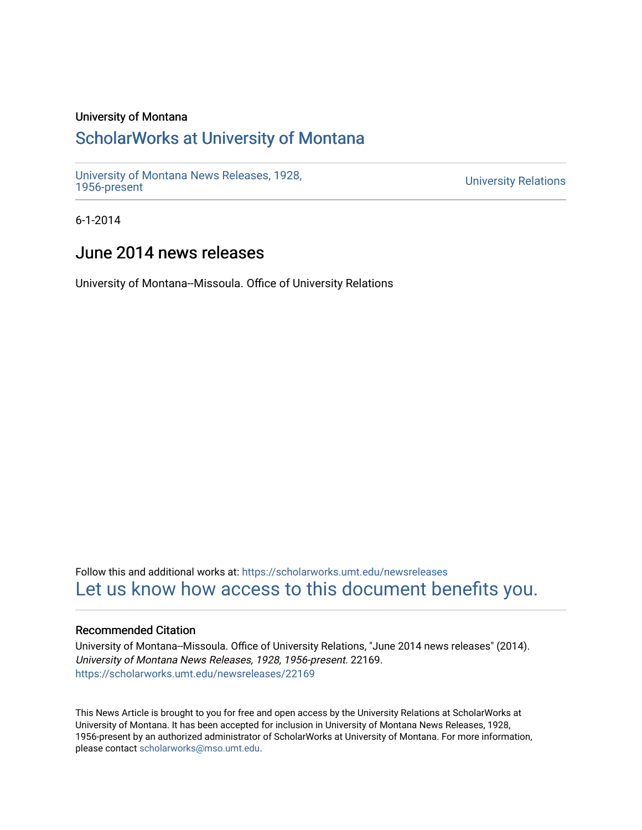#### University of Montana

## [ScholarWorks at University of Montana](https://scholarworks.umt.edu/)

[University of Montana News Releases, 1928,](https://scholarworks.umt.edu/newsreleases) 

**University Relations** 

6-1-2014

## June 2014 news releases

University of Montana--Missoula. Office of University Relations

Follow this and additional works at: [https://scholarworks.umt.edu/newsreleases](https://scholarworks.umt.edu/newsreleases?utm_source=scholarworks.umt.edu%2Fnewsreleases%2F22169&utm_medium=PDF&utm_campaign=PDFCoverPages) [Let us know how access to this document benefits you.](https://goo.gl/forms/s2rGfXOLzz71qgsB2) 

#### Recommended Citation

University of Montana--Missoula. Office of University Relations, "June 2014 news releases" (2014). University of Montana News Releases, 1928, 1956-present. 22169. [https://scholarworks.umt.edu/newsreleases/22169](https://scholarworks.umt.edu/newsreleases/22169?utm_source=scholarworks.umt.edu%2Fnewsreleases%2F22169&utm_medium=PDF&utm_campaign=PDFCoverPages) 

This News Article is brought to you for free and open access by the University Relations at ScholarWorks at University of Montana. It has been accepted for inclusion in University of Montana News Releases, 1928, 1956-present by an authorized administrator of ScholarWorks at University of Montana. For more information, please contact [scholarworks@mso.umt.edu.](mailto:scholarworks@mso.umt.edu)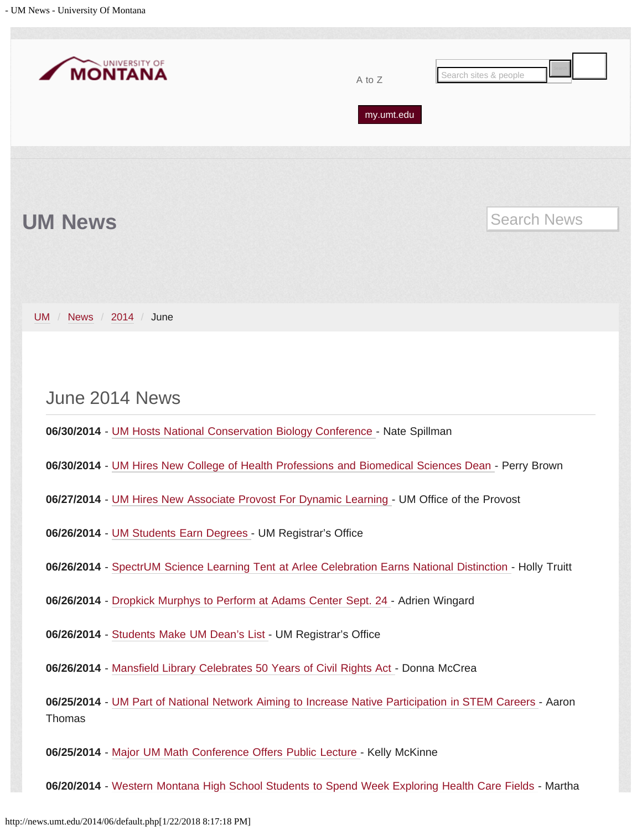<span id="page-1-0"></span>

| <b>MONTANA</b>                                                                                                     | A to Z     | Search sites & people |
|--------------------------------------------------------------------------------------------------------------------|------------|-----------------------|
|                                                                                                                    | my.umt.edu |                       |
|                                                                                                                    |            |                       |
| <b>UM News</b>                                                                                                     |            | <b>Search News</b>    |
| <b>UM</b><br>News / 2014 / June<br>$\sqrt{2}$                                                                      |            |                       |
|                                                                                                                    |            |                       |
| June 2014 News                                                                                                     |            |                       |
| 06/30/2014 - UM Hosts National Conservation Biology Conference - Nate Spillman                                     |            |                       |
| 06/30/2014 - UM Hires New College of Health Professions and Biomedical Sciences Dean - Perry Brown                 |            |                       |
| 06/27/2014 - UM Hires New Associate Provost For Dynamic Learning - UM Office of the Provost                        |            |                       |
| 06/26/2014 - UM Students Earn Degrees - UM Registrar's Office                                                      |            |                       |
| 06/26/2014 - SpectrUM Science Learning Tent at Arlee Celebration Earns National Distinction - Holly Truitt         |            |                       |
| 06/26/2014 - Dropkick Murphys to Perform at Adams Center Sept. 24 - Adrien Wingard                                 |            |                       |
| 06/26/2014 - Students Make UM Dean's List - UM Registrar's Office                                                  |            |                       |
| 06/26/2014 - Mansfield Library Celebrates 50 Years of Civil Rights Act - Donna McCrea                              |            |                       |
| 06/25/2014 - UM Part of National Network Aiming to Increase Native Participation in STEM Careers - Aaron<br>Thomas |            |                       |
| 06/25/2014 - Major UM Math Conference Offers Public Lecture - Kelly McKinne                                        |            |                       |
| 06/20/2014 - Western Montana High School Students to Spend Week Exploring Health Care Fields - Martha              |            |                       |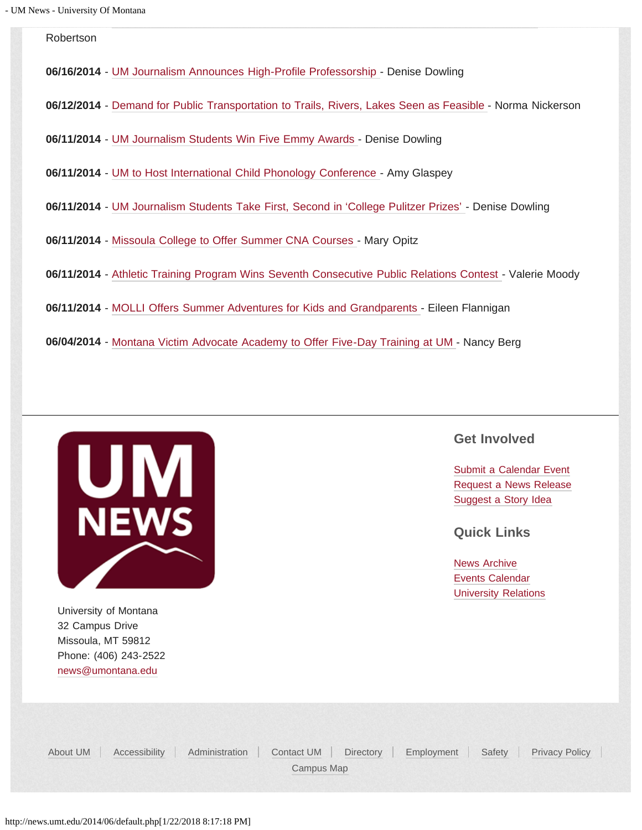Robertson

**06/16/2014** - [UM Journalism Announces High-Profile Professorship -](#page-31-0) Denise Dowling

- **06/12/2014** [Demand for Public Transportation to Trails, Rivers, Lakes Seen as Feasible -](#page-34-0) Norma Nickerson
- **06/11/2014** [UM Journalism Students Win Five Emmy Awards -](#page-36-0) Denise Dowling
- **06/11/2014** [UM to Host International Child Phonology Conference -](#page-39-0) Amy Glaspey
- **06/11/2014** [UM Journalism Students Take First, Second in 'College Pulitzer Prizes' -](#page-42-0) Denise Dowling
- **06/11/2014** [Missoula College to Offer Summer CNA Courses -](#page-45-0) Mary Opitz
- **06/11/2014** [Athletic Training Program Wins Seventh Consecutive Public Relations Contest -](#page-47-0) Valerie Moody
- **06/11/2014** [MOLLI Offers Summer Adventures for Kids and Grandparents -](#page-50-0) Eileen Flannigan
- **06/04/2014** [Montana Victim Advocate Academy to Offer Five-Day Training at UM -](#page-53-0) Nancy Berg



University of Montana 32 Campus Drive Missoula, MT 59812 Phone: (406) 243-2522 [news@umontana.edu](mailto:news@umontana.edu)

#### **Get Involved**

[Submit a Calendar Event](http://umt.edu/urelations/info/submit_event.php) [Request a News Release](mailto:news@umontana.edu) [Suggest a Story Idea](mailto:thrive@umontana.edu)

**Quick Links**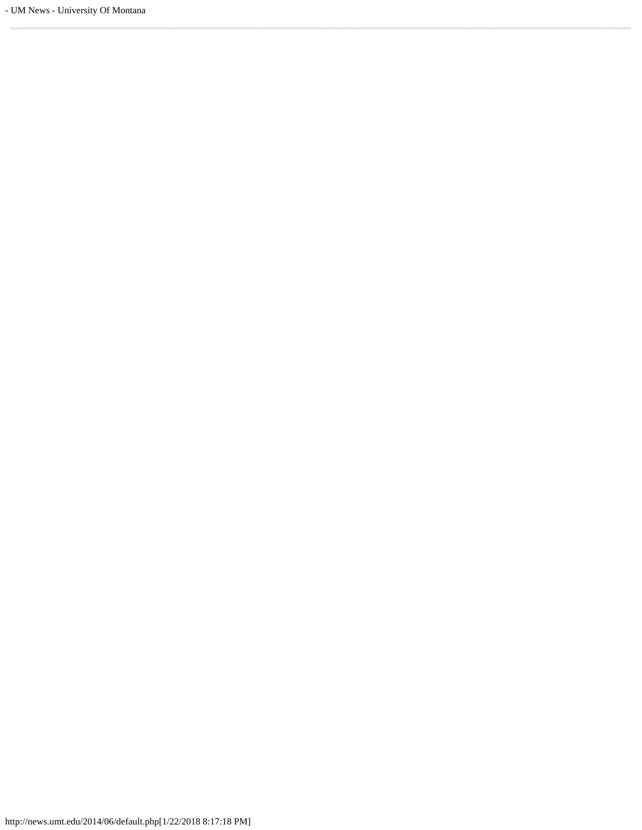- UM News - University Of Montana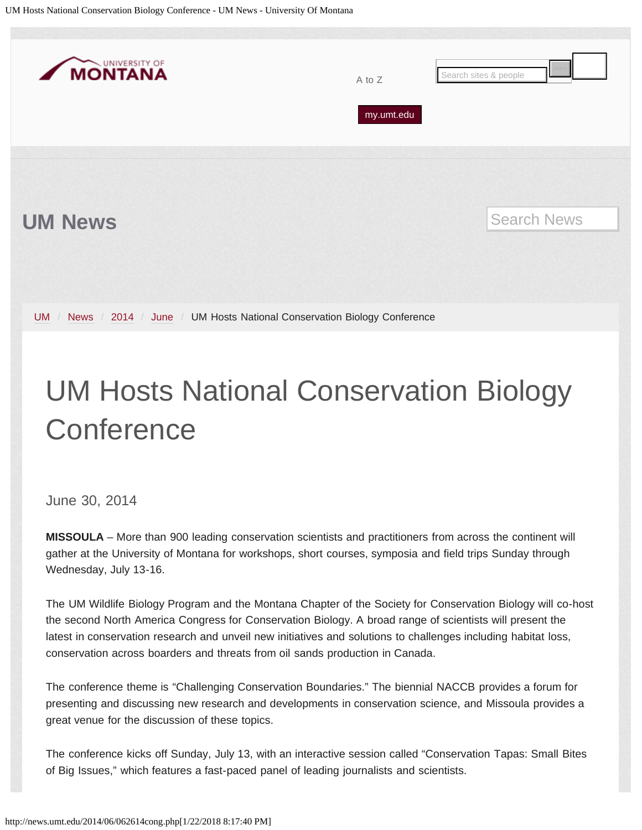<span id="page-4-0"></span>

# UM Hosts National Conservation Biology **Conference**

June 30, 2014

**MISSOULA** – More than 900 leading conservation scientists and practitioners from across the continent will gather at the University of Montana for workshops, short courses, symposia and field trips Sunday through Wednesday, July 13-16.

The UM Wildlife Biology Program and the Montana Chapter of the Society for Conservation Biology will co-host the second North America Congress for Conservation Biology. A broad range of scientists will present the latest in conservation research and unveil new initiatives and solutions to challenges including habitat loss, conservation across boarders and threats from oil sands production in Canada.

The conference theme is "Challenging Conservation Boundaries." The biennial NACCB provides a forum for presenting and discussing new research and developments in conservation science, and Missoula provides a great venue for the discussion of these topics.

The conference kicks off Sunday, July 13, with an interactive session called "Conservation Tapas: Small Bites of Big Issues," which features a fast-paced panel of leading journalists and scientists.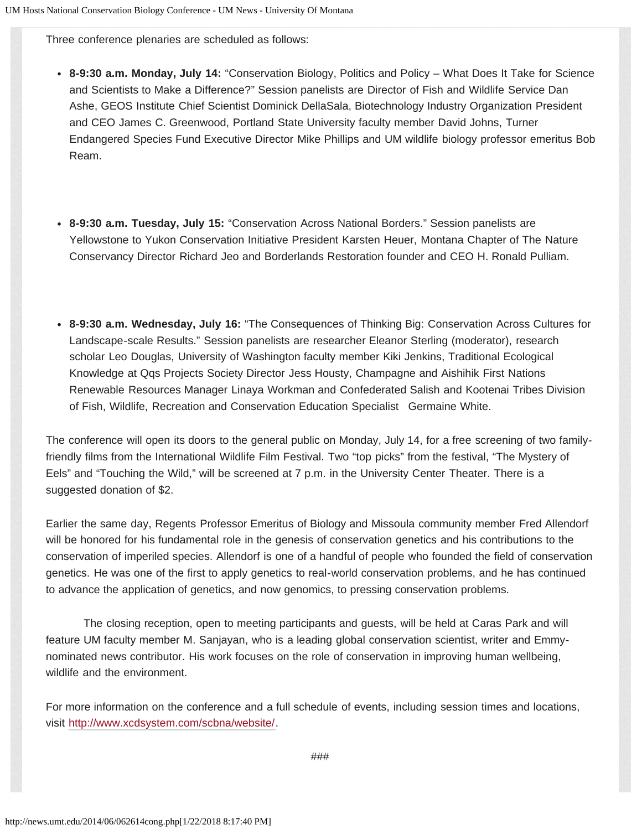Three conference plenaries are scheduled as follows:

- **8-9:30 a.m. Monday, July 14:** "Conservation Biology, Politics and Policy What Does It Take for Science and Scientists to Make a Difference?" Session panelists are Director of Fish and Wildlife Service Dan Ashe, GEOS Institute Chief Scientist Dominick DellaSala, Biotechnology Industry Organization President and CEO James C. Greenwood, Portland State University faculty member David Johns, Turner Endangered Species Fund Executive Director Mike Phillips and UM wildlife biology professor emeritus Bob Ream.
- **8-9:30 a.m. Tuesday, July 15:** "Conservation Across National Borders." Session panelists are Yellowstone to Yukon Conservation Initiative President Karsten Heuer, Montana Chapter of The Nature Conservancy Director Richard Jeo and Borderlands Restoration founder and CEO H. Ronald Pulliam.
- **8-9:30 a.m. Wednesday, July 16:** "The Consequences of Thinking Big: Conservation Across Cultures for Landscape-scale Results." Session panelists are researcher Eleanor Sterling (moderator), research scholar Leo Douglas, University of Washington faculty member Kiki Jenkins, Traditional Ecological Knowledge at Qqs Projects Society Director Jess Housty, Champagne and Aishihik First Nations Renewable Resources Manager Linaya Workman and Confederated Salish and Kootenai Tribes Division of Fish, Wildlife, Recreation and Conservation Education Specialist Germaine White.

The conference will open its doors to the general public on Monday, July 14, for a free screening of two familyfriendly films from the International Wildlife Film Festival. Two "top picks" from the festival, "The Mystery of Eels" and "Touching the Wild," will be screened at 7 p.m. in the University Center Theater. There is a suggested donation of \$2.

Earlier the same day, Regents Professor Emeritus of Biology and Missoula community member Fred Allendorf will be honored for his fundamental role in the genesis of conservation genetics and his contributions to the conservation of imperiled species. Allendorf is one of a handful of people who founded the field of conservation genetics. He was one of the first to apply genetics to real-world conservation problems, and he has continued to advance the application of genetics, and now genomics, to pressing conservation problems.

 The closing reception, open to meeting participants and guests, will be held at Caras Park and will feature UM faculty member M. Sanjayan, who is a leading global conservation scientist, writer and Emmynominated news contributor. His work focuses on the role of conservation in improving human wellbeing, wildlife and the environment.

For more information on the conference and a full schedule of events, including session times and locations, visit [http://www.xcdsystem.com/scbna/website/.](http://www.xcdsystem.com/scbna/website/)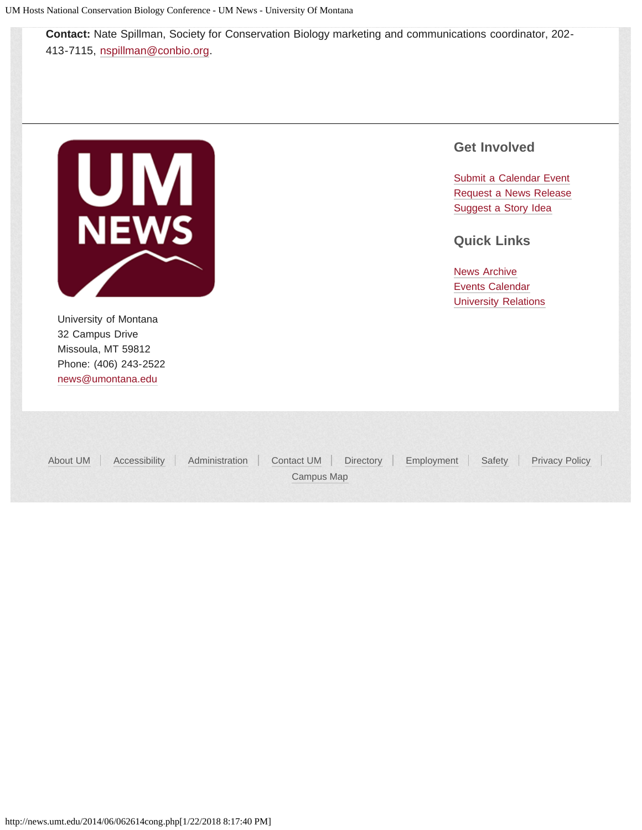**Contact:** Nate Spillman, Society for Conservation Biology marketing and communications coordinator, 202- 413-7115, [nspillman@conbio.org.](mailto:nspillman@conbio.org)



University of Montana 32 Campus Drive Missoula, MT 59812 Phone: (406) 243-2522 [news@umontana.edu](mailto:news@umontana.edu)

### **Get Involved**

[Submit a Calendar Event](http://umt.edu/urelations/info/submit_event.php) [Request a News Release](mailto:news@umontana.edu) [Suggest a Story Idea](mailto:thrive@umontana.edu)

**Quick Links**

| About UM | Accessibility   Administration   Contact UM   Directory   Employment   Safety   Privacy Policy |            |  |  |
|----------|------------------------------------------------------------------------------------------------|------------|--|--|
|          |                                                                                                | Campus Map |  |  |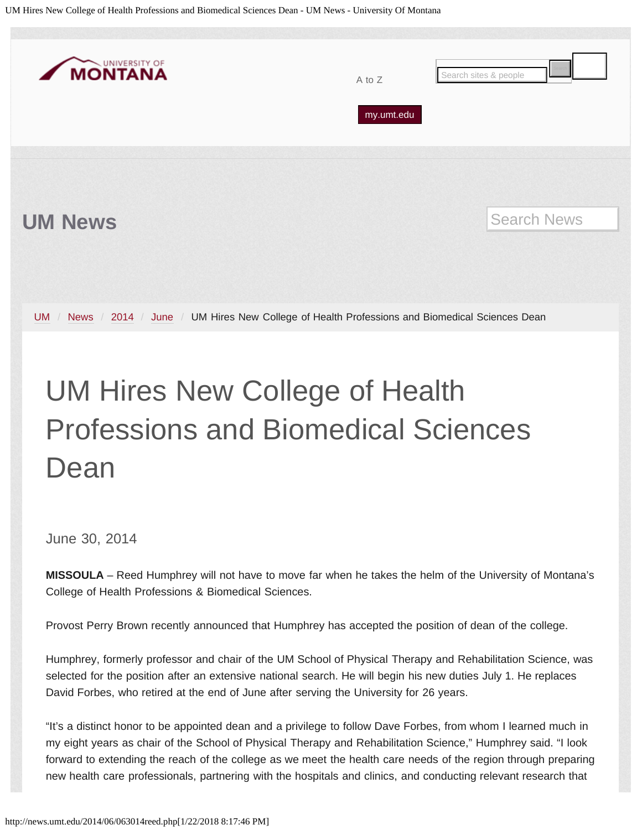<span id="page-7-0"></span>UM Hires New College of Health Professions and Biomedical Sciences Dean - UM News - University Of Montana



# UM Hires New College of Health Professions and Biomedical Sciences Dean

### June 30, 2014

**MISSOULA** – Reed Humphrey will not have to move far when he takes the helm of the University of Montana's College of Health Professions & Biomedical Sciences.

Provost Perry Brown recently announced that Humphrey has accepted the position of dean of the college.

Humphrey, formerly professor and chair of the UM School of Physical Therapy and Rehabilitation Science, was selected for the position after an extensive national search. He will begin his new duties July 1. He replaces David Forbes, who retired at the end of June after serving the University for 26 years.

"It's a distinct honor to be appointed dean and a privilege to follow Dave Forbes, from whom I learned much in my eight years as chair of the School of Physical Therapy and Rehabilitation Science," Humphrey said. "I look forward to extending the reach of the college as we meet the health care needs of the region through preparing new health care professionals, partnering with the hospitals and clinics, and conducting relevant research that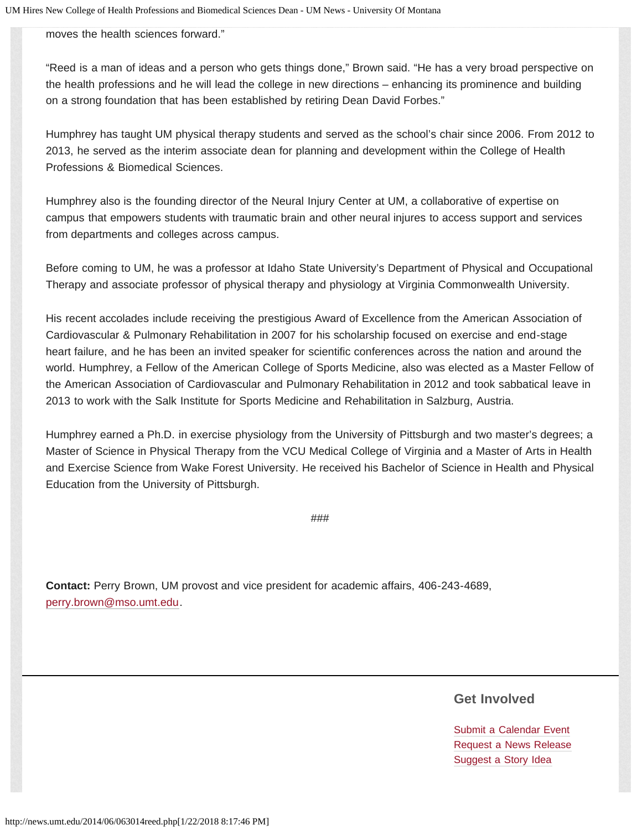moves the health sciences forward."

"Reed is a man of ideas and a person who gets things done," Brown said. "He has a very broad perspective on the health professions and he will lead the college in new directions – enhancing its prominence and building on a strong foundation that has been established by retiring Dean David Forbes."

Humphrey has taught UM physical therapy students and served as the school's chair since 2006. From 2012 to 2013, he served as the interim associate dean for planning and development within the College of Health Professions & Biomedical Sciences.

Humphrey also is the founding director of the Neural Injury Center at UM, a collaborative of expertise on campus that empowers students with traumatic brain and other neural injures to access support and services from departments and colleges across campus.

Before coming to UM, he was a professor at Idaho State University's Department of Physical and Occupational Therapy and associate professor of physical therapy and physiology at Virginia Commonwealth University.

His recent accolades include receiving the prestigious Award of Excellence from the American Association of Cardiovascular & Pulmonary Rehabilitation in 2007 for his scholarship focused on exercise and end-stage heart failure, and he has been an invited speaker for scientific conferences across the nation and around the world. Humphrey, a Fellow of the American College of Sports Medicine, also was elected as a Master Fellow of the American Association of Cardiovascular and Pulmonary Rehabilitation in 2012 and took sabbatical leave in 2013 to work with the Salk Institute for Sports Medicine and Rehabilitation in Salzburg, Austria.

Humphrey earned a Ph.D. in exercise physiology from the University of Pittsburgh and two master's degrees; a Master of Science in Physical Therapy from the VCU Medical College of Virginia and a Master of Arts in Health and Exercise Science from Wake Forest University. He received his Bachelor of Science in Health and Physical Education from the University of Pittsburgh.

###

**Contact:** Perry Brown, UM provost and vice president for academic affairs, 406-243-4689, [perry.brown@mso.umt.edu.](mailto:perry.brown@mso.umt.edu)

#### **Get Involved**

[Submit a Calendar Event](http://umt.edu/urelations/info/submit_event.php) [Request a News Release](mailto:news@umontana.edu) [Suggest a Story Idea](mailto:thrive@umontana.edu)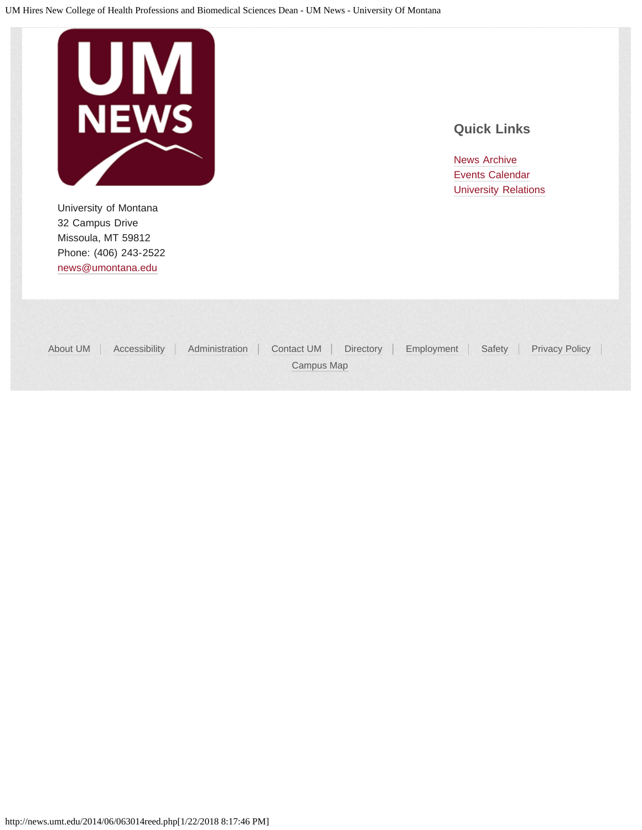

University of Montana 32 Campus Drive Missoula, MT 59812 Phone: (406) 243-2522 [news@umontana.edu](mailto:news@umontana.edu)

## **Quick Links**

[News Archive](http://www.umt.edu/urelations/pubs/NewsArchives.php) [Events Calendar](http://events.umt.edu/) [University Relations](http://www.umt.edu/urelations/)

[About UM](http://www.umt.edu/about) | [Accessibility](http://www.umt.edu/accessibility/) | [Administration](http://www.umt.edu/administration) | [Contact UM](http://www.umt.edu/comments) | [Directory](http://www.umt.edu/directory) | [Employment](http://www.umt.edu/jobs) | [Safety](http://www.umt.edu/safety/) | [Privacy Policy](http://umt.edu/privacy/) | [Campus Map](http://map.umt.edu/)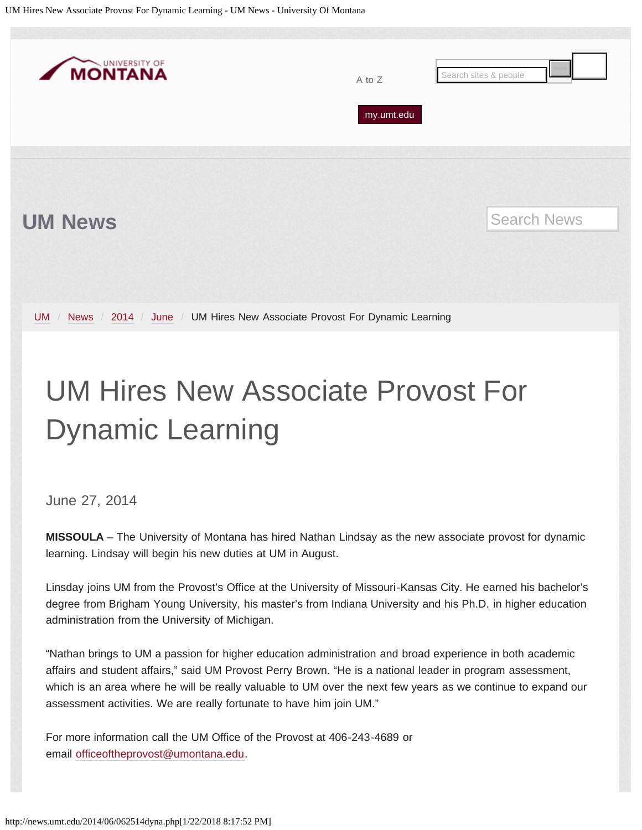<span id="page-10-0"></span>

## UM Hires New Associate Provost For Dynamic Learning

June 27, 2014

**MISSOULA** – The University of Montana has hired Nathan Lindsay as the new associate provost for dynamic learning. Lindsay will begin his new duties at UM in August.

Linsday joins UM from the Provost's Office at the University of Missouri-Kansas City. He earned his bachelor's degree from Brigham Young University, his master's from Indiana University and his Ph.D. in higher education administration from the University of Michigan.

"Nathan brings to UM a passion for higher education administration and broad experience in both academic affairs and student affairs," said UM Provost Perry Brown. "He is a national leader in program assessment, which is an area where he will be really valuable to UM over the next few years as we continue to expand our assessment activities. We are really fortunate to have him join UM."

For more information call the UM Office of the Provost at 406-243-4689 or email [officeoftheprovost@umontana.edu](mailto:officeoftheprovost@umontana.edu).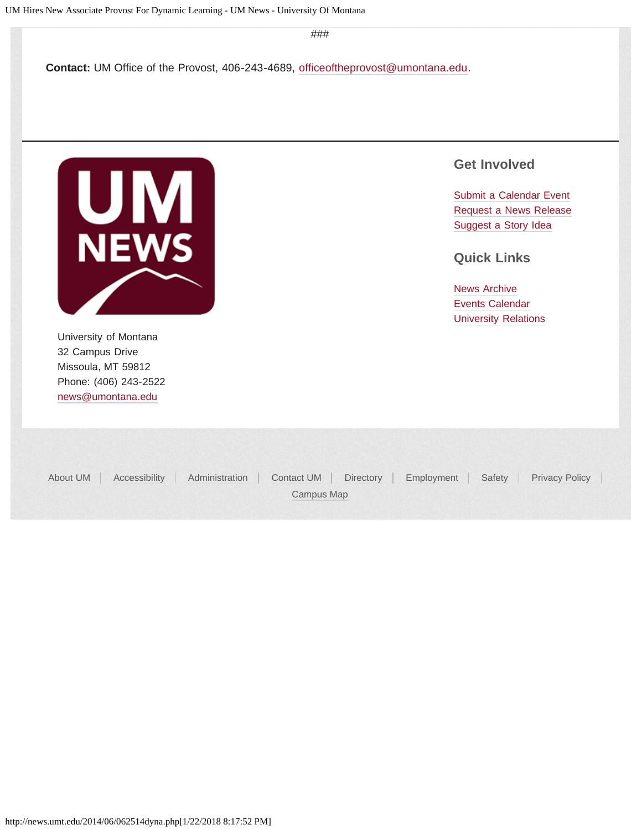###

**Contact:** UM Office of the Provost, 406-243-4689, [officeoftheprovost@umontana.edu](mailto:officeoftheprovost@umontana.edu).



University of Montana 32 Campus Drive Missoula, MT 59812 Phone: (406) 243-2522 [news@umontana.edu](mailto:news@umontana.edu)

#### **Get Involved**

[Submit a Calendar Event](http://umt.edu/urelations/info/submit_event.php) [Request a News Release](mailto:news@umontana.edu) [Suggest a Story Idea](mailto:thrive@umontana.edu)

**Quick Links**

|  | About UM   Accessibility   Administration   Contact UM   Directory   Employment   Safety   Privacy Policy |  |  |
|--|-----------------------------------------------------------------------------------------------------------|--|--|
|  | Campus Map                                                                                                |  |  |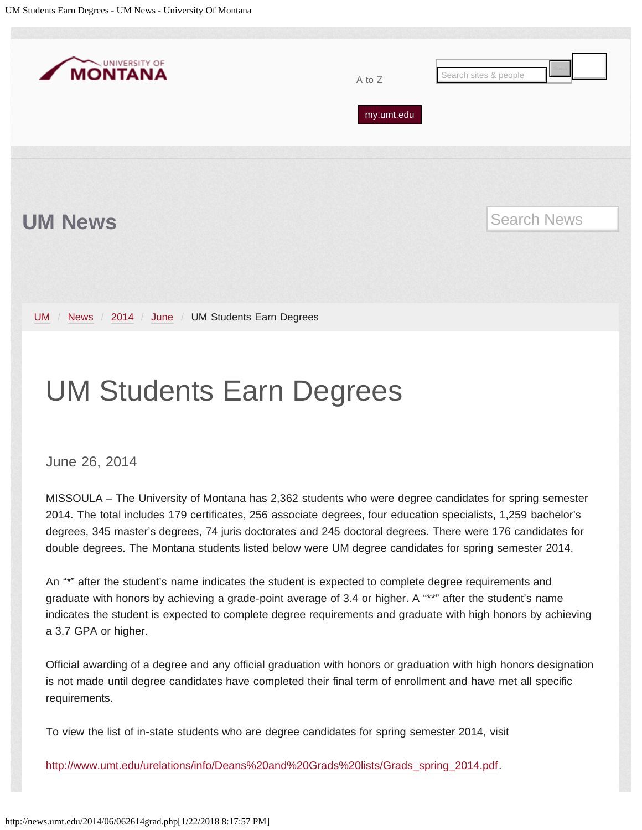<span id="page-12-0"></span>

## UM Students Earn Degrees

June 26, 2014

MISSOULA – The University of Montana has 2,362 students who were degree candidates for spring semester 2014. The total includes 179 certificates, 256 associate degrees, four education specialists, 1,259 bachelor's degrees, 345 master's degrees, 74 juris doctorates and 245 doctoral degrees. There were 176 candidates for double degrees. The Montana students listed below were UM degree candidates for spring semester 2014.

An "\*" after the student's name indicates the student is expected to complete degree requirements and graduate with honors by achieving a grade-point average of 3.4 or higher. A "\*\*" after the student's name indicates the student is expected to complete degree requirements and graduate with high honors by achieving a 3.7 GPA or higher.

Official awarding of a degree and any official graduation with honors or graduation with high honors designation is not made until degree candidates have completed their final term of enrollment and have met all specific requirements.

To view the list of in-state students who are degree candidates for spring semester 2014, visit

[http://www.umt.edu/urelations/info/Deans%20and%20Grads%20lists/Grads\\_spring\\_2014.pdf.](http://www.umt.edu/urelations/info/Deans%20and%20Grads%20lists/Grads_spring_2014.pdf)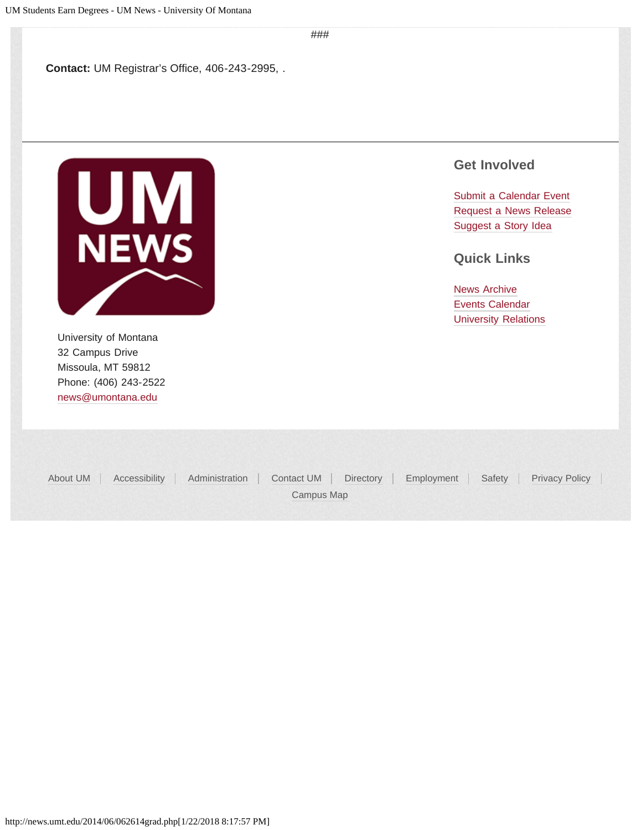###

**Contact:** UM Registrar's Office, 406-243-2995, .

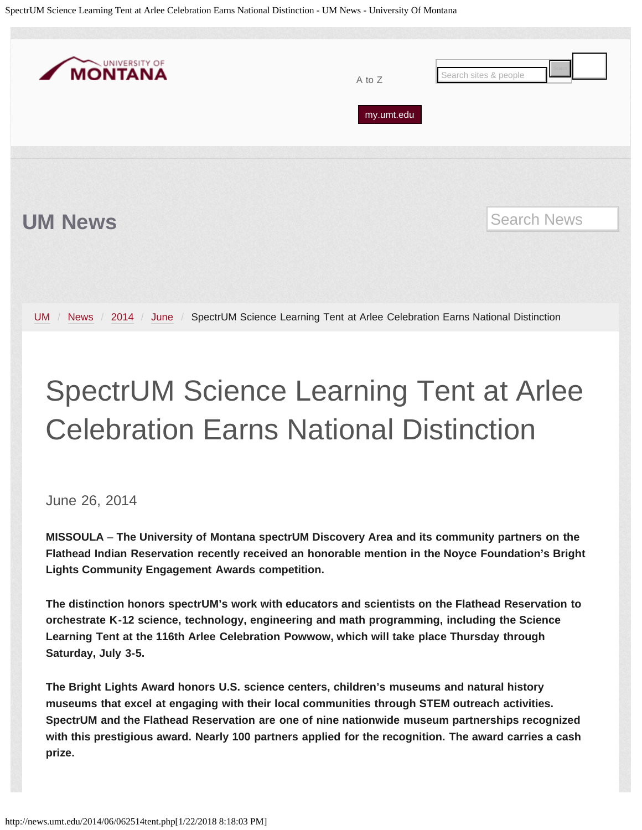<span id="page-14-0"></span>SpectrUM Science Learning Tent at Arlee Celebration Earns National Distinction - UM News - University Of Montana



## SpectrUM Science Learning Tent at Arlee Celebration Earns National Distinction

June 26, 2014

**MISSOULA** – **The University of Montana spectrUM Discovery Area and its community partners on the Flathead Indian Reservation recently received an honorable mention in the Noyce Foundation's Bright Lights Community Engagement Awards competition.**

**The distinction honors spectrUM's work with educators and scientists on the Flathead Reservation to orchestrate K-12 science, technology, engineering and math programming, including the Science Learning Tent at the 116th Arlee Celebration Powwow, which will take place Thursday through Saturday, July 3-5.**

**The Bright Lights Award honors U.S. science centers, children's museums and natural history museums that excel at engaging with their local communities through STEM outreach activities. SpectrUM and the Flathead Reservation are one of nine nationwide museum partnerships recognized with this prestigious award. Nearly 100 partners applied for the recognition. The award carries a cash prize.**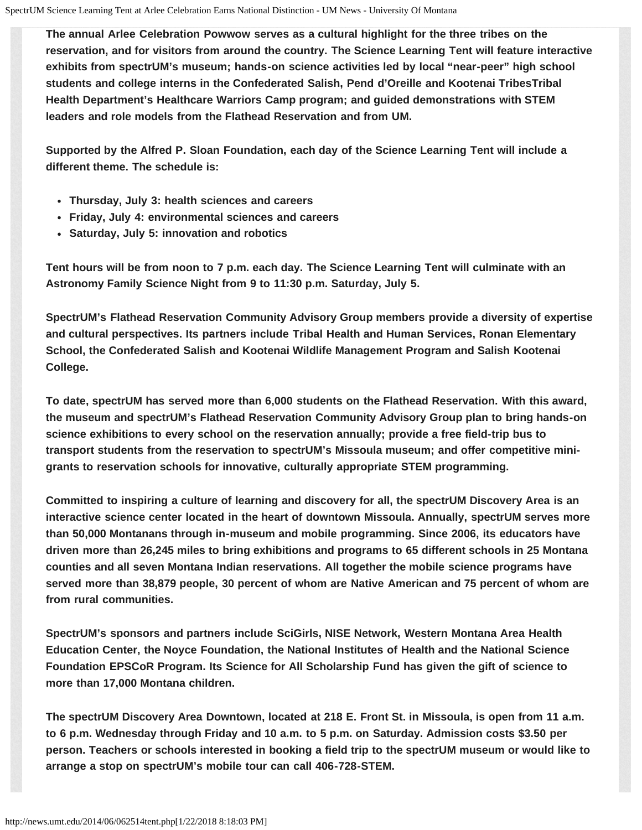**The annual Arlee Celebration Powwow serves as a cultural highlight for the three tribes on the reservation, and for visitors from around the country. The Science Learning Tent will feature interactive exhibits from spectrUM's museum; hands-on science activities led by local "near-peer" high school students and college interns in the Confederated Salish, Pend d'Oreille and Kootenai TribesTribal Health Department's Healthcare Warriors Camp program; and guided demonstrations with STEM leaders and role models from the Flathead Reservation and from UM.**

**Supported by the Alfred P. Sloan Foundation, each day of the Science Learning Tent will include a different theme. The schedule is:**

- **Thursday, July 3: health sciences and careers**
- **Friday, July 4: environmental sciences and careers**
- **Saturday, July 5: innovation and robotics**

**Tent hours will be from noon to 7 p.m. each day. The Science Learning Tent will culminate with an Astronomy Family Science Night from 9 to 11:30 p.m. Saturday, July 5.**

**SpectrUM's Flathead Reservation Community Advisory Group members provide a diversity of expertise and cultural perspectives. Its partners include Tribal Health and Human Services, Ronan Elementary School, the Confederated Salish and Kootenai Wildlife Management Program and Salish Kootenai College.**

**To date, spectrUM has served more than 6,000 students on the Flathead Reservation. With this award, the museum and spectrUM's Flathead Reservation Community Advisory Group plan to bring hands-on science exhibitions to every school on the reservation annually; provide a free field-trip bus to transport students from the reservation to spectrUM's Missoula museum; and offer competitive minigrants to reservation schools for innovative, culturally appropriate STEM programming.**

**Committed to inspiring a culture of learning and discovery for all, the spectrUM Discovery Area is an interactive science center located in the heart of downtown Missoula. Annually, spectrUM serves more than 50,000 Montanans through in-museum and mobile programming. Since 2006, its educators have driven more than 26,245 miles to bring exhibitions and programs to 65 different schools in 25 Montana counties and all seven Montana Indian reservations. All together the mobile science programs have served more than 38,879 people, 30 percent of whom are Native American and 75 percent of whom are from rural communities.**

**SpectrUM's sponsors and partners include SciGirls, NISE Network, Western Montana Area Health Education Center, the Noyce Foundation, the National Institutes of Health and the National Science Foundation EPSCoR Program. Its Science for All Scholarship Fund has given the gift of science to more than 17,000 Montana children.**

**The spectrUM Discovery Area Downtown, located at 218 E. Front St. in Missoula, is open from 11 a.m. to 6 p.m. Wednesday through Friday and 10 a.m. to 5 p.m. on Saturday. Admission costs \$3.50 per person. Teachers or schools interested in booking a field trip to the spectrUM museum or would like to arrange a stop on spectrUM's mobile tour can call 406-728-STEM.**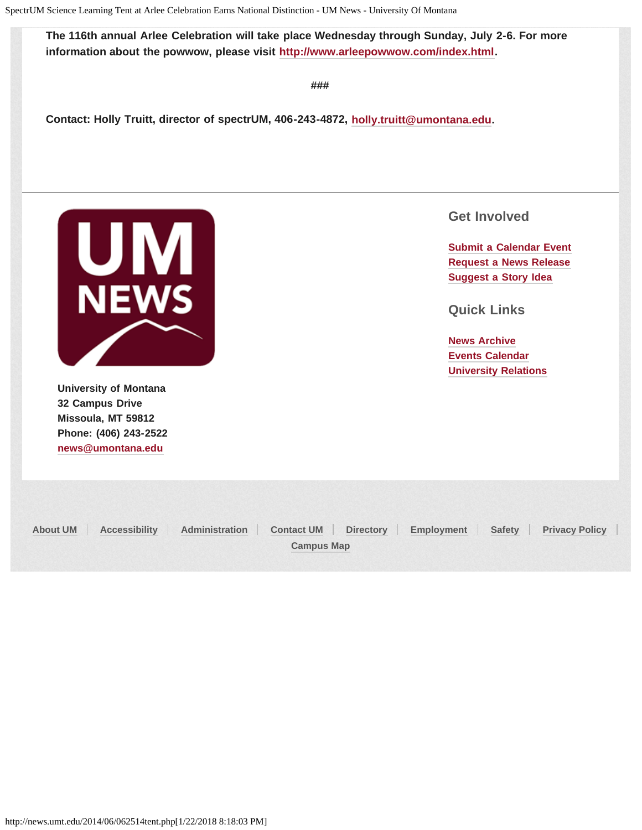**The 116th annual Arlee Celebration will take place Wednesday through Sunday, July 2-6. For more information about the powwow, please visit [http://www.arleepowwow.com/index.html.](http://www.arleepowwow.com/index.html)**

**###**

**Contact: Holly Truitt, director of spectrUM, 406-243-4872, [holly.truitt@umontana.edu.](mailto:holly.truitt@umontana.edu)**

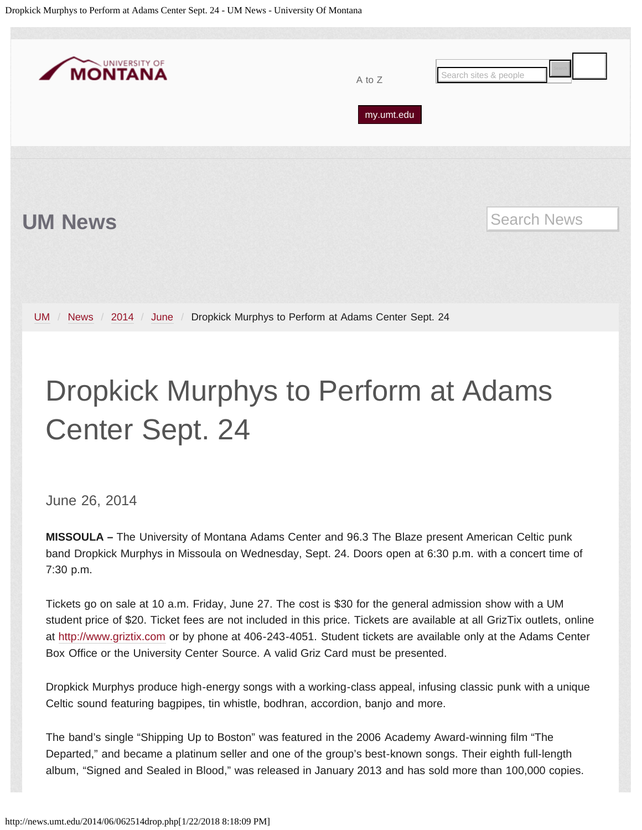<span id="page-17-0"></span>

## Dropkick Murphys to Perform at Adams Center Sept. 24

June 26, 2014

**MISSOULA –** The University of Montana Adams Center and 96.3 The Blaze present American Celtic punk band Dropkick Murphys in Missoula on Wednesday, Sept. 24. Doors open at 6:30 p.m. with a concert time of 7:30 p.m.

Tickets go on sale at 10 a.m. Friday, June 27. The cost is \$30 for the general admission show with a UM student price of \$20. Ticket fees are not included in this price. Tickets are available at all GrizTix outlets, online at [http://www.griztix.com](http://www.griztix.com/) or by phone at 406-243-4051. Student tickets are available only at the Adams Center Box Office or the University Center Source. A valid Griz Card must be presented.

Dropkick Murphys produce high-energy songs with a working-class appeal, infusing classic punk with a unique Celtic sound featuring bagpipes, tin whistle, bodhran, accordion, banjo and more.

The band's single "Shipping Up to Boston" was featured in the 2006 Academy Award-winning film "The Departed," and became a platinum seller and one of the group's best-known songs. Their eighth full-length album, "Signed and Sealed in Blood," was released in January 2013 and has sold more than 100,000 copies.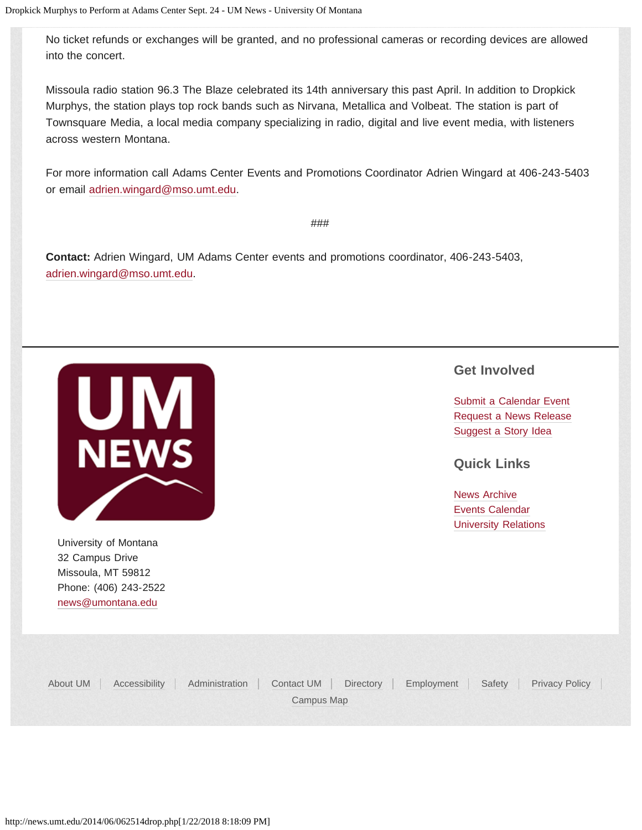No ticket refunds or exchanges will be granted, and no professional cameras or recording devices are allowed into the concert.

Missoula radio station 96.3 The Blaze celebrated its 14th anniversary this past April. In addition to Dropkick Murphys, the station plays top rock bands such as Nirvana, Metallica and Volbeat. The station is part of Townsquare Media, a local media company specializing in radio, digital and live event media, with listeners across western Montana.

For more information call Adams Center Events and Promotions Coordinator Adrien Wingard at 406-243-5403 or email [adrien.wingard@mso.umt.edu](mailto:adrien.wingard@mso.umt.edu).

###

**Contact:** Adrien Wingard, UM Adams Center events and promotions coordinator, 406-243-5403, [adrien.wingard@mso.umt.edu.](mailto:adrien.wingard@mso.umt.edu)



University of Montana 32 Campus Drive Missoula, MT 59812 Phone: (406) 243-2522 [news@umontana.edu](mailto:news@umontana.edu)

### **Get Involved**

[Submit a Calendar Event](http://umt.edu/urelations/info/submit_event.php) [Request a News Release](mailto:news@umontana.edu) [Suggest a Story Idea](mailto:thrive@umontana.edu)

### **Quick Links**

[News Archive](http://www.umt.edu/urelations/pubs/NewsArchives.php) [Events Calendar](http://events.umt.edu/) [University Relations](http://www.umt.edu/urelations/)

[About UM](http://www.umt.edu/about) [Accessibility](http://www.umt.edu/accessibility/) [Administration](http://www.umt.edu/administration) [Contact UM](http://www.umt.edu/comments) [Directory](http://www.umt.edu/directory) [Employment](http://www.umt.edu/jobs) [Safety](http://www.umt.edu/safety/) [Privacy Policy](http://umt.edu/privacy/) [Campus Map](http://map.umt.edu/)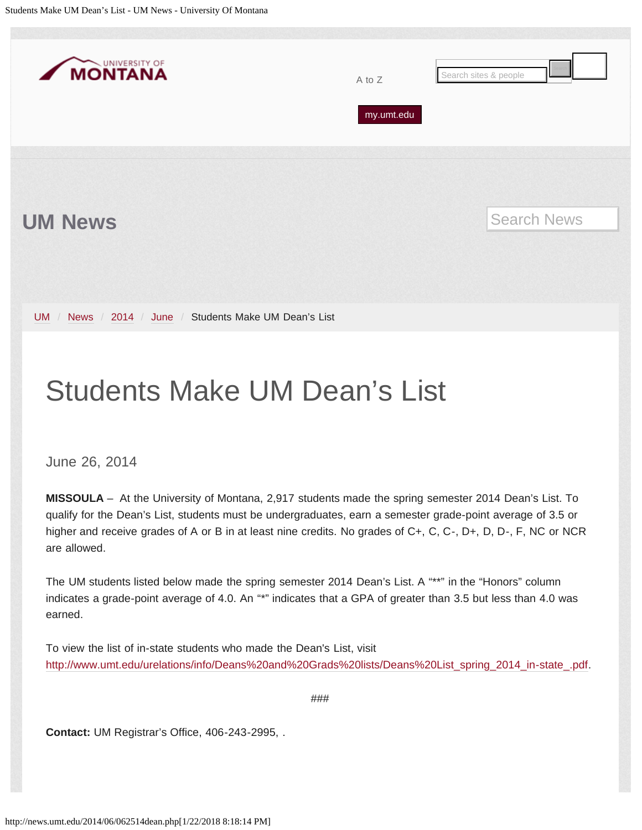<span id="page-19-0"></span>

## Students Make UM Dean's List

June 26, 2014

**MISSOULA** – At the University of Montana, 2,917 students made the spring semester 2014 Dean's List. To qualify for the Dean's List, students must be undergraduates, earn a semester grade-point average of 3.5 or higher and receive grades of A or B in at least nine credits. No grades of C+, C, C-, D+, D, D-, F, NC or NCR are allowed.

The UM students listed below made the spring semester 2014 Dean's List. A "\*\*" in the "Honors" column indicates a grade-point average of 4.0. An "\*" indicates that a GPA of greater than 3.5 but less than 4.0 was earned.

To view the list of in-state students who made the Dean's List, visit [http://www.umt.edu/urelations/info/Deans%20and%20Grads%20lists/Deans%20List\\_spring\\_2014\\_in-state\\_.pdf.](http://www.umt.edu/urelations/info/Deans%20and%20Grads%20lists/Deans%20List_spring_2014_in-state_.pdf)

###

**Contact:** UM Registrar's Office, 406-243-2995, .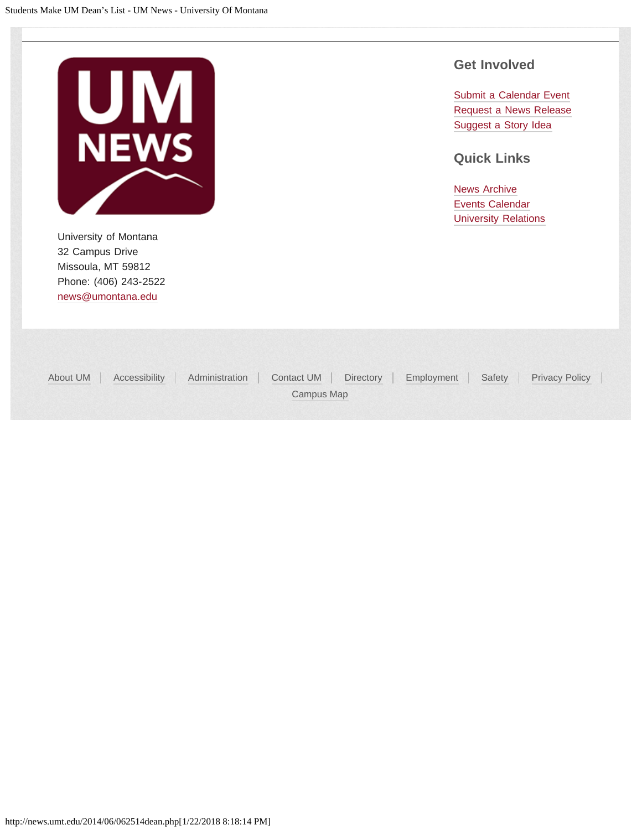

University of Montana 32 Campus Drive Missoula, MT 59812 Phone: (406) 243-2522 [news@umontana.edu](mailto:news@umontana.edu)

### **Get Involved**

[Submit a Calendar Event](http://umt.edu/urelations/info/submit_event.php) [Request a News Release](mailto:news@umontana.edu) [Suggest a Story Idea](mailto:thrive@umontana.edu)

## **Quick Links**

[News Archive](http://www.umt.edu/urelations/pubs/NewsArchives.php) [Events Calendar](http://events.umt.edu/) [University Relations](http://www.umt.edu/urelations/)

[About UM](http://www.umt.edu/about) | [Accessibility](http://www.umt.edu/accessibility/) | [Administration](http://www.umt.edu/administration) | [Contact UM](http://www.umt.edu/comments) | [Directory](http://www.umt.edu/directory) | [Employment](http://www.umt.edu/jobs) | [Safety](http://www.umt.edu/safety/) | [Privacy Policy](http://umt.edu/privacy/) | [Campus Map](http://map.umt.edu/)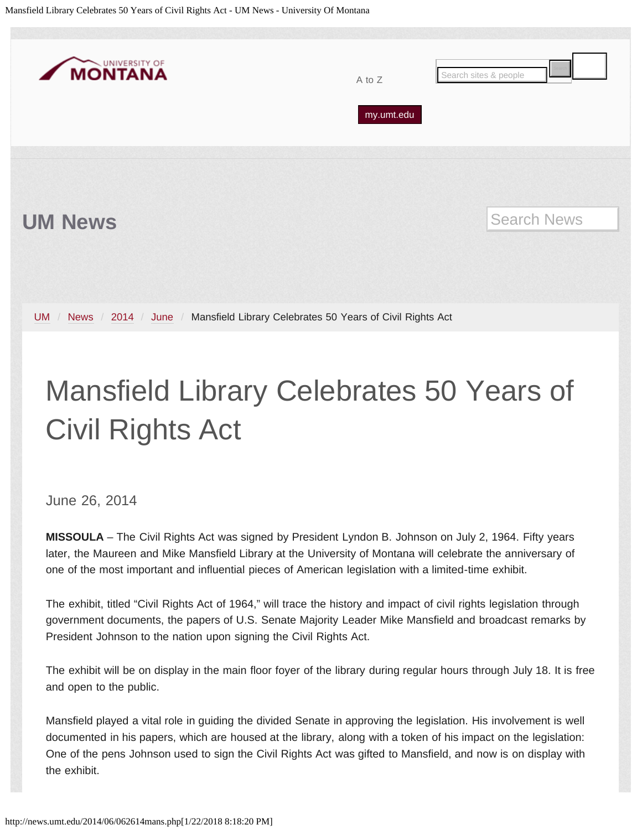<span id="page-21-0"></span>

# Mansfield Library Celebrates 50 Years of Civil Rights Act

## June 26, 2014

**MISSOULA** – The Civil Rights Act was signed by President Lyndon B. Johnson on July 2, 1964. Fifty years later, the Maureen and Mike Mansfield Library at the University of Montana will celebrate the anniversary of one of the most important and influential pieces of American legislation with a limited-time exhibit.

The exhibit, titled "Civil Rights Act of 1964," will trace the history and impact of civil rights legislation through government documents, the papers of U.S. Senate Majority Leader Mike Mansfield and broadcast remarks by President Johnson to the nation upon signing the Civil Rights Act.

The exhibit will be on display in the main floor foyer of the library during regular hours through July 18. It is free and open to the public.

Mansfield played a vital role in guiding the divided Senate in approving the legislation. His involvement is well documented in his papers, which are housed at the library, along with a token of his impact on the legislation: One of the pens Johnson used to sign the Civil Rights Act was gifted to Mansfield, and now is on display with the exhibit.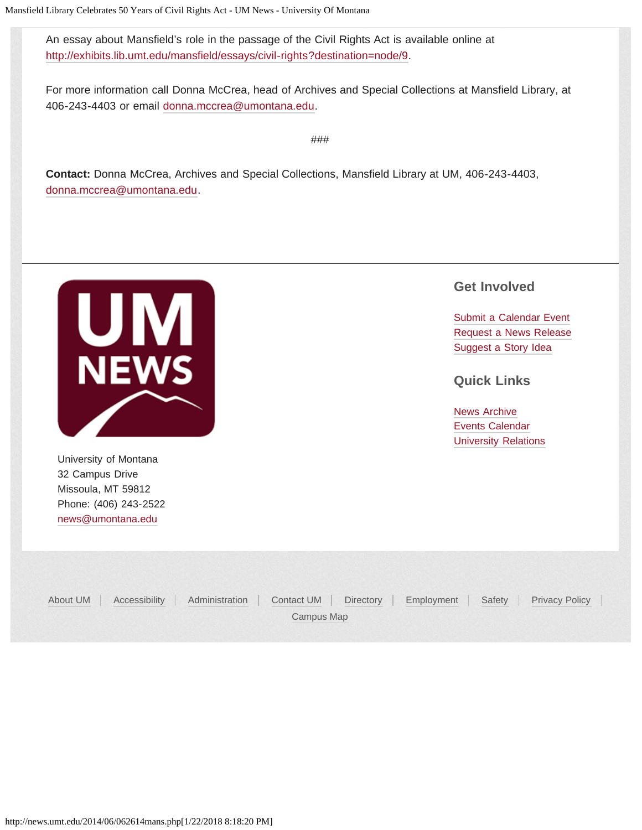An essay about Mansfield's role in the passage of the Civil Rights Act is available online at [http://exhibits.lib.umt.edu/mansfield/essays/civil-rights?destination=node/9.](http://exhibits.lib.umt.edu/mansfield/essays/civil-rights?destination=node/9)

For more information call Donna McCrea, head of Archives and Special Collections at Mansfield Library, at 406-243-4403 or email [donna.mccrea@umontana.edu.](mailto:donna.mccrea@umontana.edu)

###

**Contact:** Donna McCrea, Archives and Special Collections, Mansfield Library at UM, 406-243-4403, [donna.mccrea@umontana.edu.](mailto:donna.mccrea@umontana.edu)

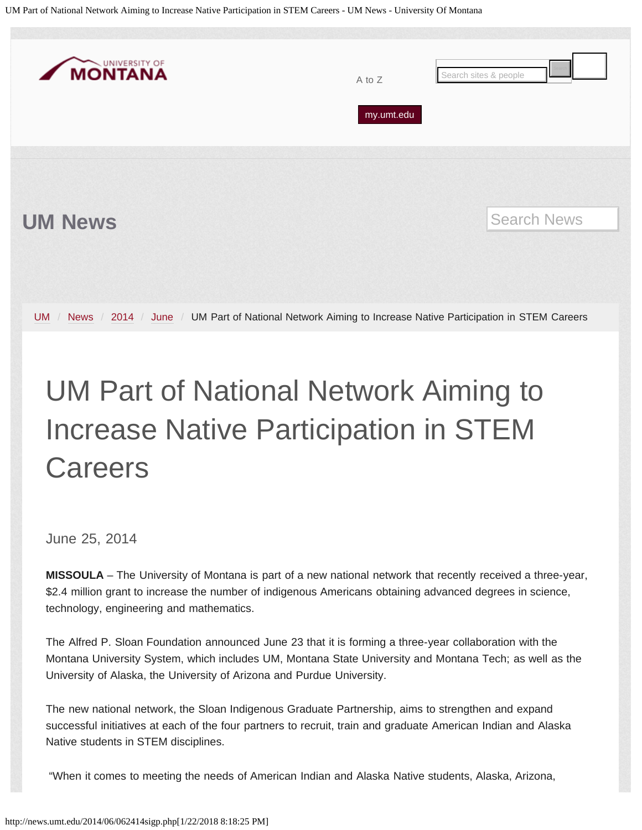<span id="page-23-0"></span>UM Part of National Network Aiming to Increase Native Participation in STEM Careers - UM News - University Of Montana



# UM Part of National Network Aiming to Increase Native Participation in STEM **Careers**

### June 25, 2014

**MISSOULA** – The University of Montana is part of a new national network that recently received a three-year, \$2.4 million grant to increase the number of indigenous Americans obtaining advanced degrees in science, technology, engineering and mathematics.

The Alfred P. Sloan Foundation announced June 23 that it is forming a three-year collaboration with the Montana University System, which includes UM, Montana State University and Montana Tech; as well as the University of Alaska, the University of Arizona and Purdue University.

The new national network, the Sloan Indigenous Graduate Partnership, aims to strengthen and expand successful initiatives at each of the four partners to recruit, train and graduate American Indian and Alaska Native students in STEM disciplines.

"When it comes to meeting the needs of American Indian and Alaska Native students, Alaska, Arizona,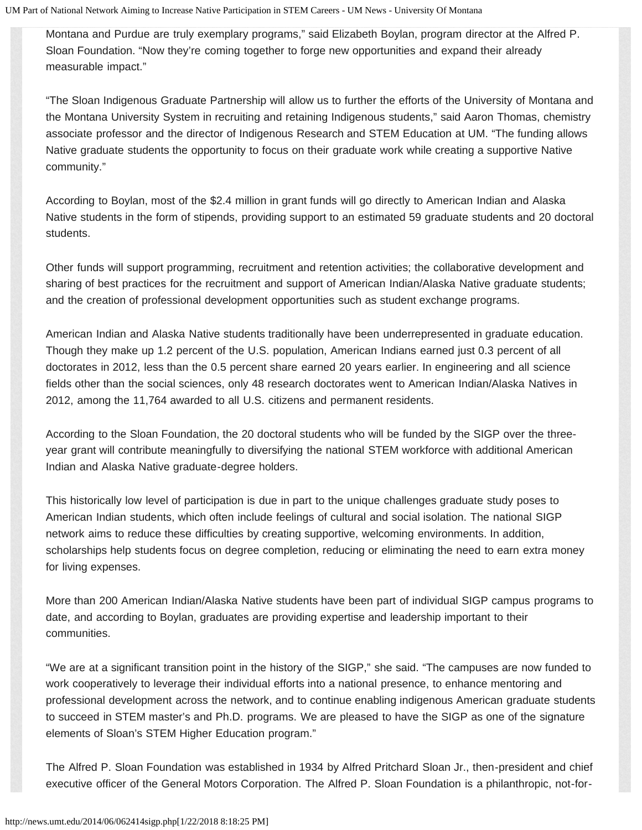Montana and Purdue are truly exemplary programs," said Elizabeth Boylan, program director at the Alfred P. Sloan Foundation. "Now they're coming together to forge new opportunities and expand their already measurable impact."

"The Sloan Indigenous Graduate Partnership will allow us to further the efforts of the University of Montana and the Montana University System in recruiting and retaining Indigenous students," said Aaron Thomas, chemistry associate professor and the director of Indigenous Research and STEM Education at UM. "The funding allows Native graduate students the opportunity to focus on their graduate work while creating a supportive Native community."

According to Boylan, most of the \$2.4 million in grant funds will go directly to American Indian and Alaska Native students in the form of stipends, providing support to an estimated 59 graduate students and 20 doctoral students.

Other funds will support programming, recruitment and retention activities; the collaborative development and sharing of best practices for the recruitment and support of American Indian/Alaska Native graduate students; and the creation of professional development opportunities such as student exchange programs.

American Indian and Alaska Native students traditionally have been underrepresented in graduate education. Though they make up 1.2 percent of the U.S. population, American Indians earned just 0.3 percent of all doctorates in 2012, less than the 0.5 percent share earned 20 years earlier. In engineering and all science fields other than the social sciences, only 48 research doctorates went to American Indian/Alaska Natives in 2012, among the 11,764 awarded to all U.S. citizens and permanent residents.

According to the Sloan Foundation, the 20 doctoral students who will be funded by the SIGP over the threeyear grant will contribute meaningfully to diversifying the national STEM workforce with additional American Indian and Alaska Native graduate-degree holders.

This historically low level of participation is due in part to the unique challenges graduate study poses to American Indian students, which often include feelings of cultural and social isolation. The national SIGP network aims to reduce these difficulties by creating supportive, welcoming environments. In addition, scholarships help students focus on degree completion, reducing or eliminating the need to earn extra money for living expenses.

More than 200 American Indian/Alaska Native students have been part of individual SIGP campus programs to date, and according to Boylan, graduates are providing expertise and leadership important to their communities.

"We are at a significant transition point in the history of the SIGP," she said. "The campuses are now funded to work cooperatively to leverage their individual efforts into a national presence, to enhance mentoring and professional development across the network, and to continue enabling indigenous American graduate students to succeed in STEM master's and Ph.D. programs. We are pleased to have the SIGP as one of the signature elements of Sloan's STEM Higher Education program."

The Alfred P. Sloan Foundation was established in 1934 by Alfred Pritchard Sloan Jr., then-president and chief executive officer of the General Motors Corporation. The Alfred P. Sloan Foundation is a philanthropic, not-for-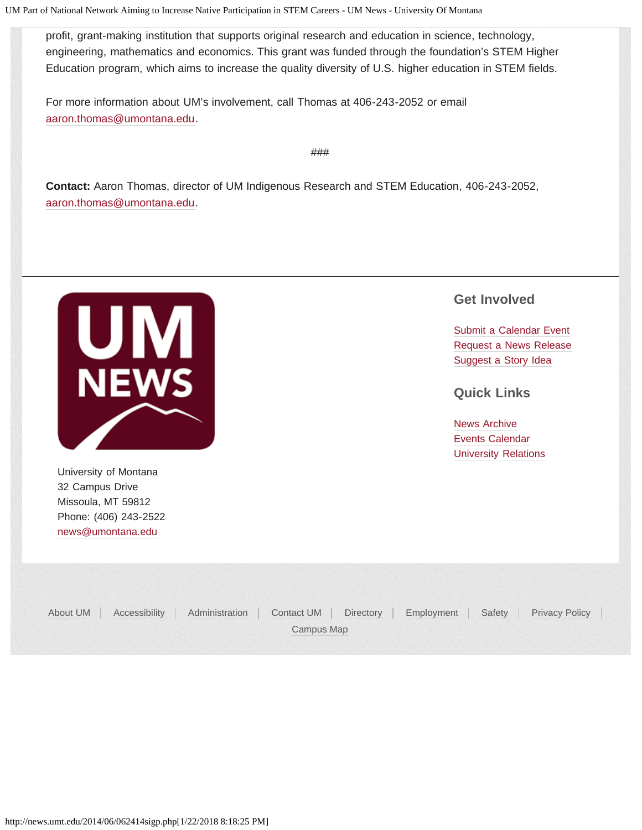profit, grant-making institution that supports original research and education in science, technology, engineering, mathematics and economics. This grant was funded through the foundation's STEM Higher Education program, which aims to increase the quality diversity of U.S. higher education in STEM fields.

For more information about UM's involvement, call Thomas at 406-243-2052 or email [aaron.thomas@umontana.edu.](mailto:aaron.thomas@umontana.edu)

###

**Contact:** Aaron Thomas, director of UM Indigenous Research and STEM Education, 406-243-2052, [aaron.thomas@umontana.edu.](mailto:aaron.thomas@umontana.edu)



University of Montana 32 Campus Drive Missoula, MT 59812 Phone: (406) 243-2522 [news@umontana.edu](mailto:news@umontana.edu)

### **Get Involved**

[Submit a Calendar Event](http://umt.edu/urelations/info/submit_event.php) [Request a News Release](mailto:news@umontana.edu) [Suggest a Story Idea](mailto:thrive@umontana.edu)

**Quick Links**

|  | About UM   Accessibility   Administration   Contact UM   Directory   Employment   Safety   Privacy Policy |            |  |  |
|--|-----------------------------------------------------------------------------------------------------------|------------|--|--|
|  |                                                                                                           | Campus Map |  |  |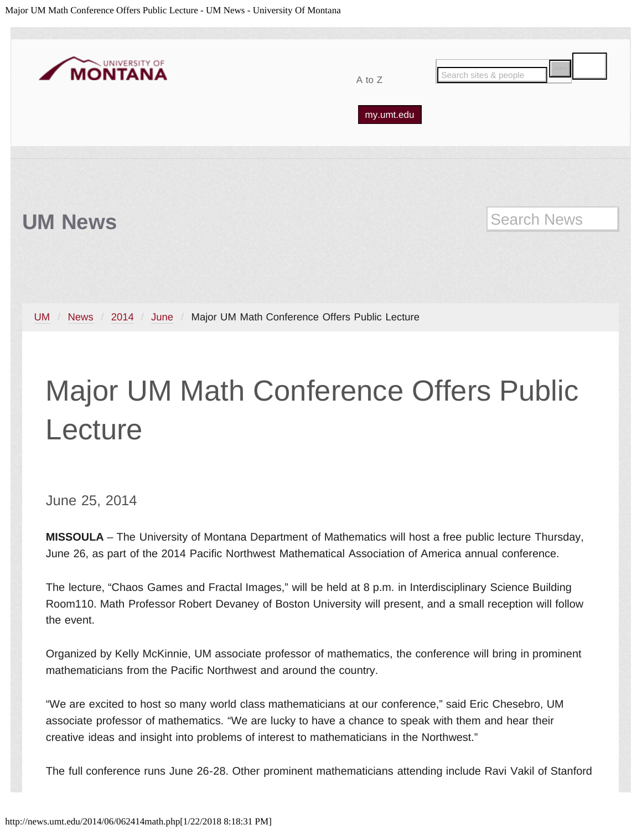<span id="page-26-0"></span>

# Major UM Math Conference Offers Public **Lecture**

June 25, 2014

**MISSOULA** – The University of Montana Department of Mathematics will host a free public lecture Thursday, June 26, as part of the 2014 Pacific Northwest Mathematical Association of America annual conference.

The lecture, "Chaos Games and Fractal Images," will be held at 8 p.m. in Interdisciplinary Science Building Room110. Math Professor Robert Devaney of Boston University will present, and a small reception will follow the event.

Organized by Kelly McKinnie, UM associate professor of mathematics, the conference will bring in prominent mathematicians from the Pacific Northwest and around the country.

"We are excited to host so many world class mathematicians at our conference," said Eric Chesebro, UM associate professor of mathematics. "We are lucky to have a chance to speak with them and hear their creative ideas and insight into problems of interest to mathematicians in the Northwest."

The full conference runs June 26-28. Other prominent mathematicians attending include Ravi Vakil of Stanford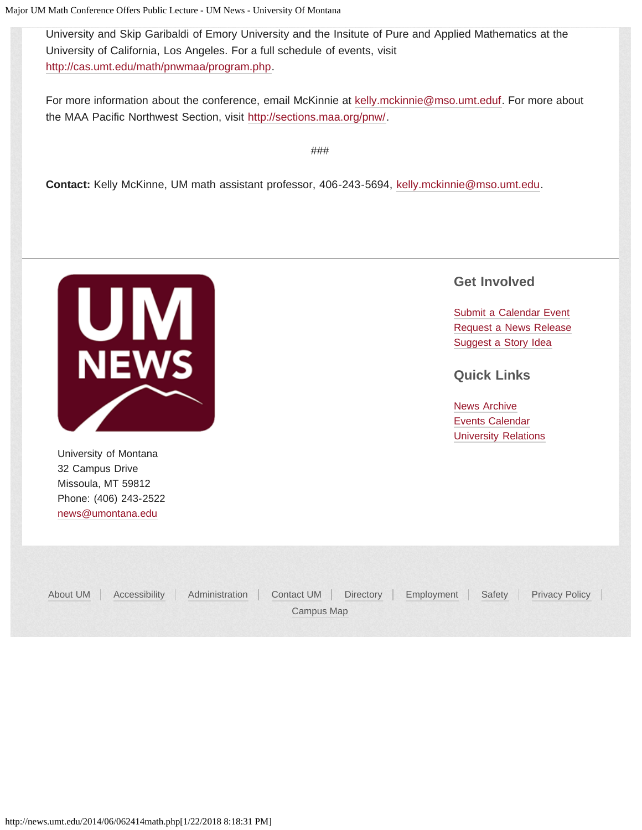University and Skip Garibaldi of Emory University and the Insitute of Pure and Applied Mathematics at the University of California, Los Angeles. For a full schedule of events, visit <http://cas.umt.edu/math/pnwmaa/program.php>.

For more information about the conference, email McKinnie at [kelly.mckinnie@mso.umt.eduf.](mailto:kelly.mckinnie@mso.umt.eduf) For more about the MAA Pacific Northwest Section, visit [http://sections.maa.org/pnw/.](http://sections.maa.org/pnw/)

###

**Contact:** Kelly McKinne, UM math assistant professor, 406-243-5694, [kelly.mckinnie@mso.umt.edu](mailto:kelly.mckinnie@mso.umt.edu).

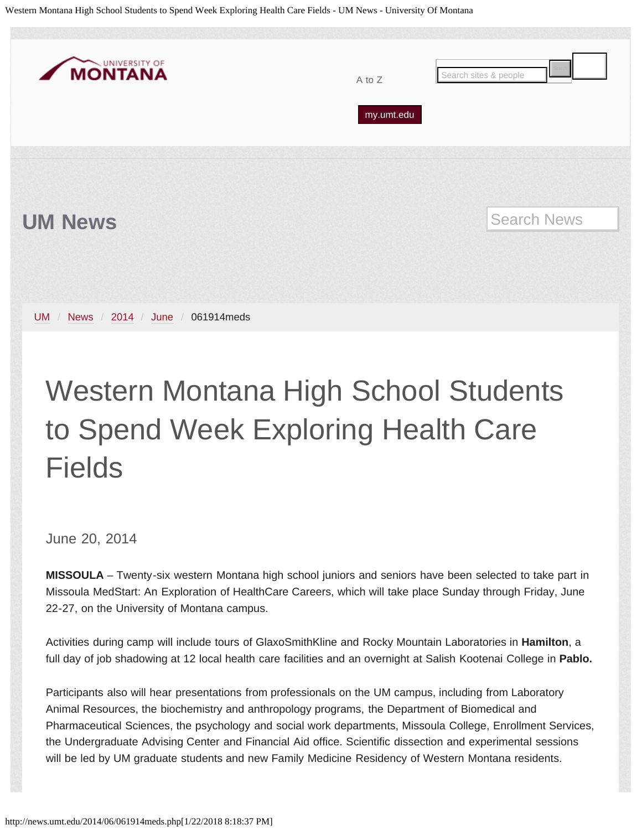<span id="page-28-0"></span>Western Montana High School Students to Spend Week Exploring Health Care Fields - UM News - University Of Montana



## Western Montana High School Students to Spend Week Exploring Health Care Fields

### June 20, 2014

**MISSOULA** – Twenty-six western Montana high school juniors and seniors have been selected to take part in Missoula MedStart: An Exploration of HealthCare Careers, which will take place Sunday through Friday, June 22-27, on the University of Montana campus.

Activities during camp will include tours of GlaxoSmithKline and Rocky Mountain Laboratories in **Hamilton**, a full day of job shadowing at 12 local health care facilities and an overnight at Salish Kootenai College in **Pablo.**

Participants also will hear presentations from professionals on the UM campus, including from Laboratory Animal Resources, the biochemistry and anthropology programs, the Department of Biomedical and Pharmaceutical Sciences, the psychology and social work departments, Missoula College, Enrollment Services, the Undergraduate Advising Center and Financial Aid office. Scientific dissection and experimental sessions will be led by UM graduate students and new Family Medicine Residency of Western Montana residents.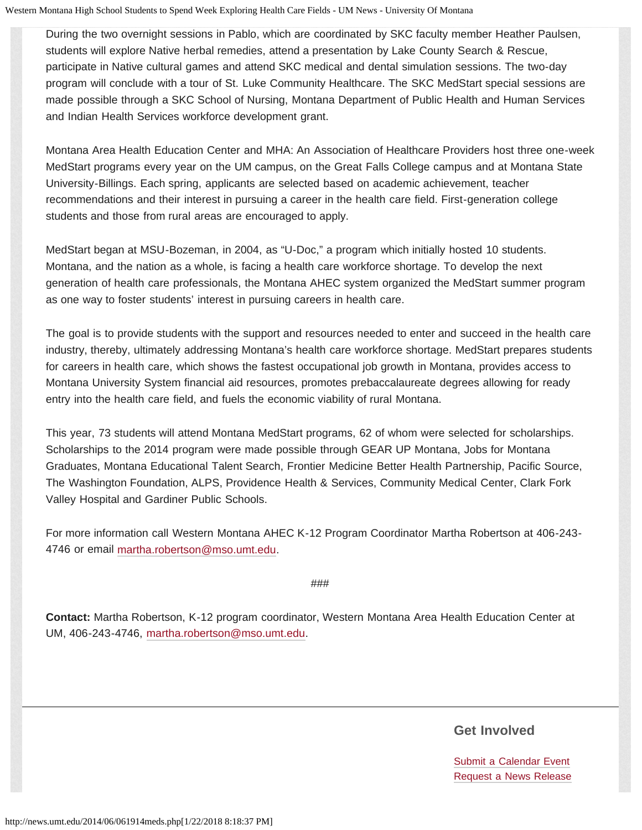During the two overnight sessions in Pablo, which are coordinated by SKC faculty member Heather Paulsen, students will explore Native herbal remedies, attend a presentation by Lake County Search & Rescue, participate in Native cultural games and attend SKC medical and dental simulation sessions. The two-day program will conclude with a tour of St. Luke Community Healthcare. The SKC MedStart special sessions are made possible through a SKC School of Nursing, Montana Department of Public Health and Human Services and Indian Health Services workforce development grant.

Montana Area Health Education Center and MHA: An Association of Healthcare Providers host three one-week MedStart programs every year on the UM campus, on the Great Falls College campus and at Montana State University-Billings. Each spring, applicants are selected based on academic achievement, teacher recommendations and their interest in pursuing a career in the health care field. First-generation college students and those from rural areas are encouraged to apply.

MedStart began at MSU-Bozeman, in 2004, as "U-Doc," a program which initially hosted 10 students. Montana, and the nation as a whole, is facing a health care workforce shortage. To develop the next generation of health care professionals, the Montana AHEC system organized the MedStart summer program as one way to foster students' interest in pursuing careers in health care.

The goal is to provide students with the support and resources needed to enter and succeed in the health care industry, thereby, ultimately addressing Montana's health care workforce shortage. MedStart prepares students for careers in health care, which shows the fastest occupational job growth in Montana, provides access to Montana University System financial aid resources, promotes prebaccalaureate degrees allowing for ready entry into the health care field, and fuels the economic viability of rural Montana.

This year, 73 students will attend Montana MedStart programs, 62 of whom were selected for scholarships. Scholarships to the 2014 program were made possible through GEAR UP Montana, Jobs for Montana Graduates, Montana Educational Talent Search, Frontier Medicine Better Health Partnership, Pacific Source, The Washington Foundation, ALPS, Providence Health & Services, Community Medical Center, Clark Fork Valley Hospital and Gardiner Public Schools.

For more information call Western Montana AHEC K-12 Program Coordinator Martha Robertson at 406-243- 4746 or email [martha.robertson@mso.umt.edu.](mailto:martha.robertson@mso.umt.edu)

###

**Contact:** Martha Robertson, K-12 program coordinator, Western Montana Area Health Education Center at UM, 406-243-4746, [martha.robertson@mso.umt.edu.](mailto:martha.robertson@mso.umt.edu)

**Get Involved**

[Submit a Calendar Event](http://umt.edu/urelations/info/submit_event.php) [Request a News Release](mailto:news@umontana.edu)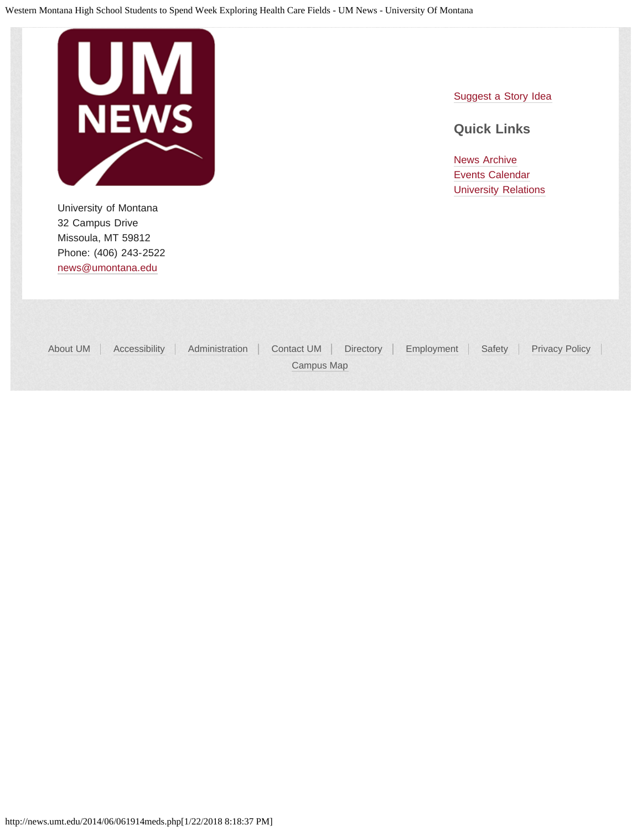

University of Montana 32 Campus Drive Missoula, MT 59812 Phone: (406) 243-2522 [news@umontana.edu](mailto:news@umontana.edu)

#### [Suggest a Story Idea](mailto:thrive@umontana.edu)

### **Quick Links**

| About UM   Accessibility   Administration   Contact UM   Directory   Employment   Safety   Privacy Policy |            |  |  |
|-----------------------------------------------------------------------------------------------------------|------------|--|--|
|                                                                                                           | Campus Map |  |  |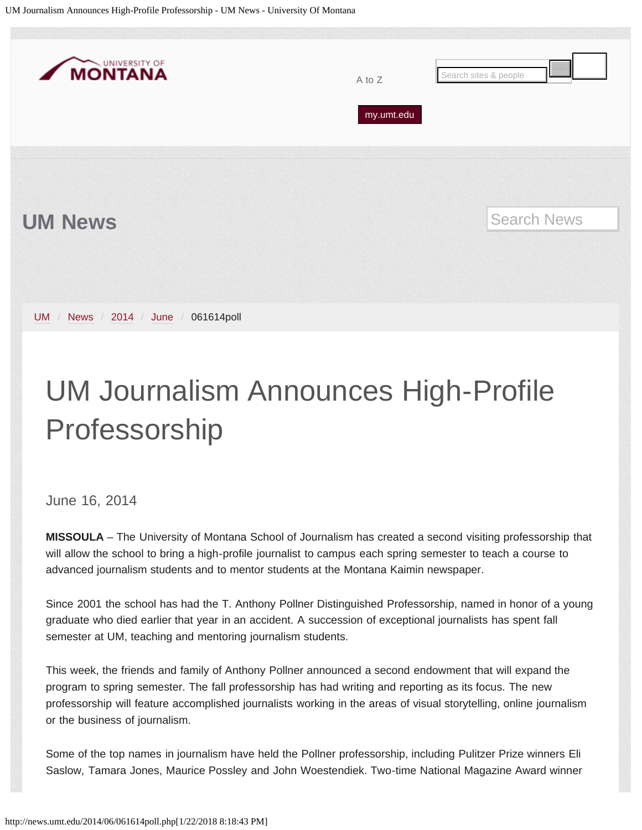<span id="page-31-0"></span>

## UM Journalism Announces High-Profile Professorship

June 16, 2014

**MISSOULA** – The University of Montana School of Journalism has created a second visiting professorship that will allow the school to bring a high-profile journalist to campus each spring semester to teach a course to advanced journalism students and to mentor students at the Montana Kaimin newspaper.

Since 2001 the school has had the T. Anthony Pollner Distinguished Professorship, named in honor of a young graduate who died earlier that year in an accident. A succession of exceptional journalists has spent fall semester at UM, teaching and mentoring journalism students.

This week, the friends and family of Anthony Pollner announced a second endowment that will expand the program to spring semester. The fall professorship has had writing and reporting as its focus. The new professorship will feature accomplished journalists working in the areas of visual storytelling, online journalism or the business of journalism.

Some of the top names in journalism have held the Pollner professorship, including Pulitzer Prize winners Eli Saslow, Tamara Jones, Maurice Possley and John Woestendiek. Two-time National Magazine Award winner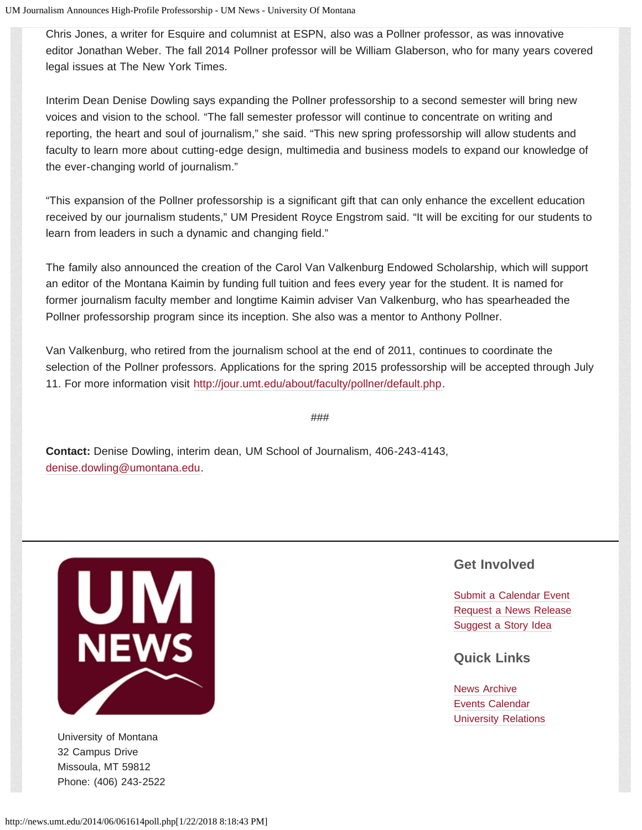Chris Jones, a writer for Esquire and columnist at ESPN, also was a Pollner professor, as was innovative editor Jonathan Weber. The fall 2014 Pollner professor will be William Glaberson, who for many years covered legal issues at The New York Times.

Interim Dean Denise Dowling says expanding the Pollner professorship to a second semester will bring new voices and vision to the school. "The fall semester professor will continue to concentrate on writing and reporting, the heart and soul of journalism," she said. "This new spring professorship will allow students and faculty to learn more about cutting-edge design, multimedia and business models to expand our knowledge of the ever-changing world of journalism."

"This expansion of the Pollner professorship is a significant gift that can only enhance the excellent education received by our journalism students," UM President Royce Engstrom said. "It will be exciting for our students to learn from leaders in such a dynamic and changing field."

The family also announced the creation of the Carol Van Valkenburg Endowed Scholarship, which will support an editor of the Montana Kaimin by funding full tuition and fees every year for the student. It is named for former journalism faculty member and longtime Kaimin adviser Van Valkenburg, who has spearheaded the Pollner professorship program since its inception. She also was a mentor to Anthony Pollner.

Van Valkenburg, who retired from the journalism school at the end of 2011, continues to coordinate the selection of the Pollner professors. Applications for the spring 2015 professorship will be accepted through July 11. For more information visit [http://jour.umt.edu/about/faculty/pollner/default.php.](http://jour.umt.edu/about/faculty/pollner/default.php)

###

**Contact:** Denise Dowling, interim dean, UM School of Journalism, 406-243-4143, [denise.dowling@umontana.edu.](mailto:denise.dowling@umontana.edu)



University of Montana 32 Campus Drive Missoula, MT 59812 Phone: (406) 243-2522

### **Get Involved**

[Submit a Calendar Event](http://umt.edu/urelations/info/submit_event.php) [Request a News Release](mailto:news@umontana.edu) [Suggest a Story Idea](mailto:thrive@umontana.edu)

**Quick Links**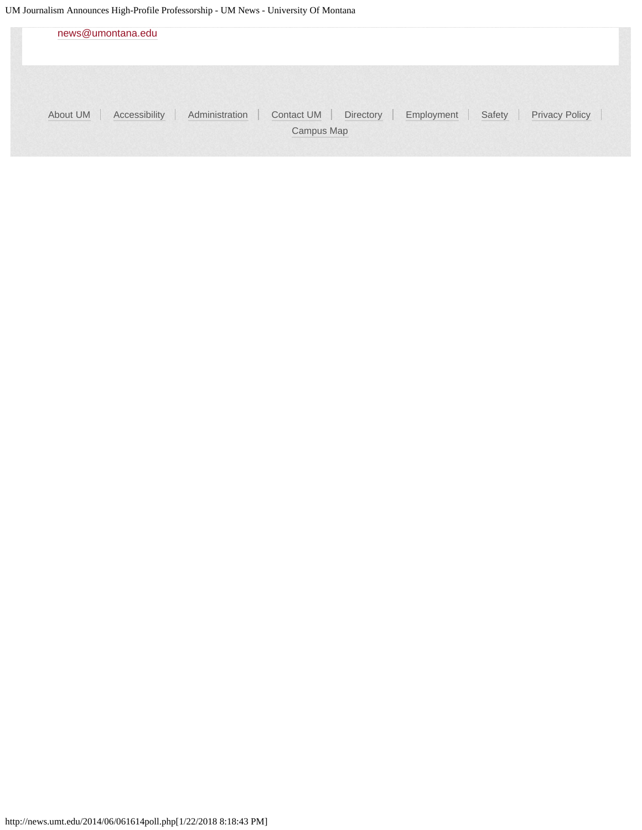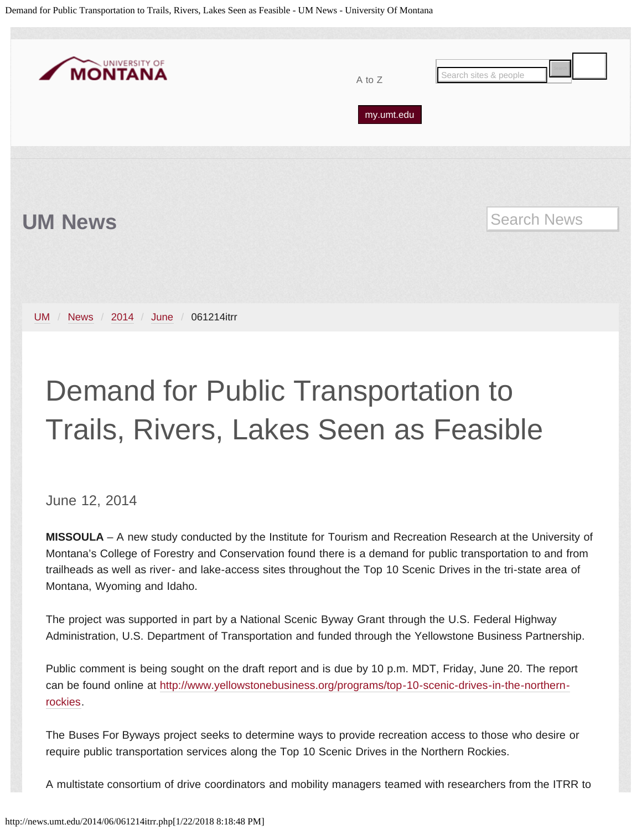<span id="page-34-0"></span>Demand for Public Transportation to Trails, Rivers, Lakes Seen as Feasible - UM News - University Of Montana



## Demand for Public Transportation to Trails, Rivers, Lakes Seen as Feasible

June 12, 2014

**MISSOULA** – A new study conducted by the Institute for Tourism and Recreation Research at the University of Montana's College of Forestry and Conservation found there is a demand for public transportation to and from trailheads as well as river- and lake-access sites throughout the Top 10 Scenic Drives in the tri-state area of Montana, Wyoming and Idaho.

The project was supported in part by a National Scenic Byway Grant through the U.S. Federal Highway Administration, U.S. Department of Transportation and funded through the Yellowstone Business Partnership.

Public comment is being sought on the draft report and is due by 10 p.m. MDT, Friday, June 20. The report can be found online at [http://www.yellowstonebusiness.org/programs/top-10-scenic-drives-in-the-northern](http://www.yellowstonebusiness.org/programs/top-10-scenic-drives-in-the-northern-rockies)[rockies.](http://www.yellowstonebusiness.org/programs/top-10-scenic-drives-in-the-northern-rockies)

The Buses For Byways project seeks to determine ways to provide recreation access to those who desire or require public transportation services along the Top 10 Scenic Drives in the Northern Rockies.

A multistate consortium of drive coordinators and mobility managers teamed with researchers from the ITRR to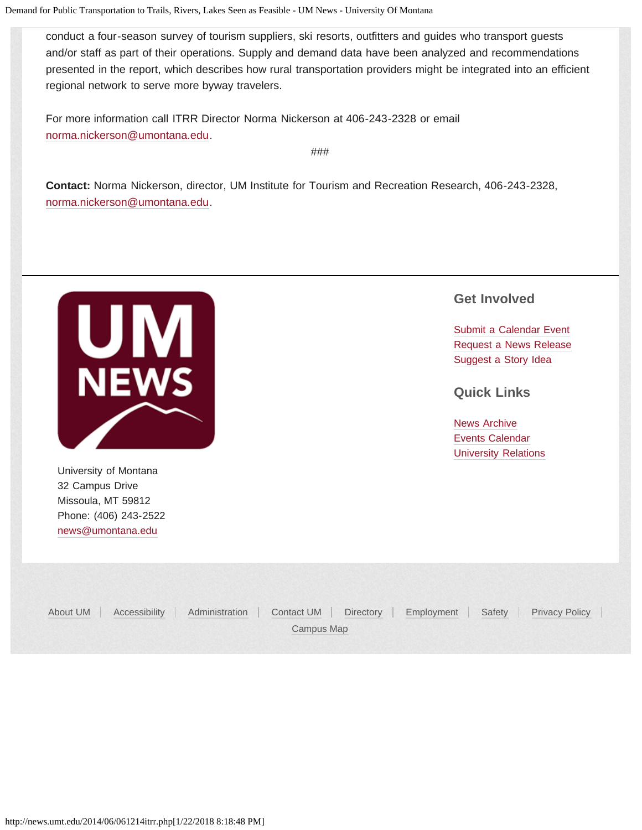conduct a four-season survey of tourism suppliers, ski resorts, outfitters and guides who transport guests and/or staff as part of their operations. Supply and demand data have been analyzed and recommendations presented in the report, which describes how rural transportation providers might be integrated into an efficient regional network to serve more byway travelers.

For more information call ITRR Director Norma Nickerson at 406-243-2328 or email [norma.nickerson@umontana.edu.](mailto:norma.nickerson@umontana.edu)

###

**Contact:** Norma Nickerson, director, UM Institute for Tourism and Recreation Research, 406-243-2328, [norma.nickerson@umontana.edu.](mailto:norma.nickerson@umontana.edu)



University of Montana 32 Campus Drive Missoula, MT 59812 Phone: (406) 243-2522 [news@umontana.edu](mailto:news@umontana.edu)

### **Get Involved**

[Submit a Calendar Event](http://umt.edu/urelations/info/submit_event.php) [Request a News Release](mailto:news@umontana.edu) [Suggest a Story Idea](mailto:thrive@umontana.edu)

**Quick Links**

| About UM   Accessibility   Administration   Contact UM   Directory   Employment   Safety   Privacy Policy |            |  |  |
|-----------------------------------------------------------------------------------------------------------|------------|--|--|
|                                                                                                           | Campus Map |  |  |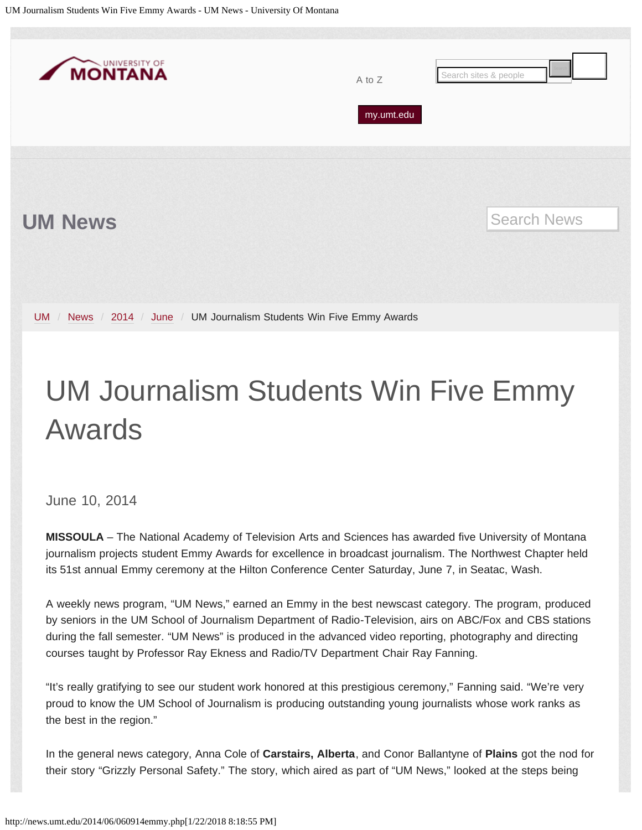<span id="page-36-0"></span>

## UM Journalism Students Win Five Emmy Awards

## June 10, 2014

**MISSOULA** – The National Academy of Television Arts and Sciences has awarded five University of Montana journalism projects student Emmy Awards for excellence in broadcast journalism. The Northwest Chapter held its 51st annual Emmy ceremony at the Hilton Conference Center Saturday, June 7, in Seatac, Wash.

A weekly news program, "UM News," earned an Emmy in the best newscast category. The program, produced by seniors in the UM School of Journalism Department of Radio-Television, airs on ABC/Fox and CBS stations during the fall semester. "UM News" is produced in the advanced video reporting, photography and directing courses taught by Professor Ray Ekness and Radio/TV Department Chair Ray Fanning.

"It's really gratifying to see our student work honored at this prestigious ceremony," Fanning said. "We're very proud to know the UM School of Journalism is producing outstanding young journalists whose work ranks as the best in the region."

In the general news category, Anna Cole of **Carstairs, Alberta**, and Conor Ballantyne of **Plains** got the nod for their story "Grizzly Personal Safety." The story, which aired as part of "UM News," looked at the steps being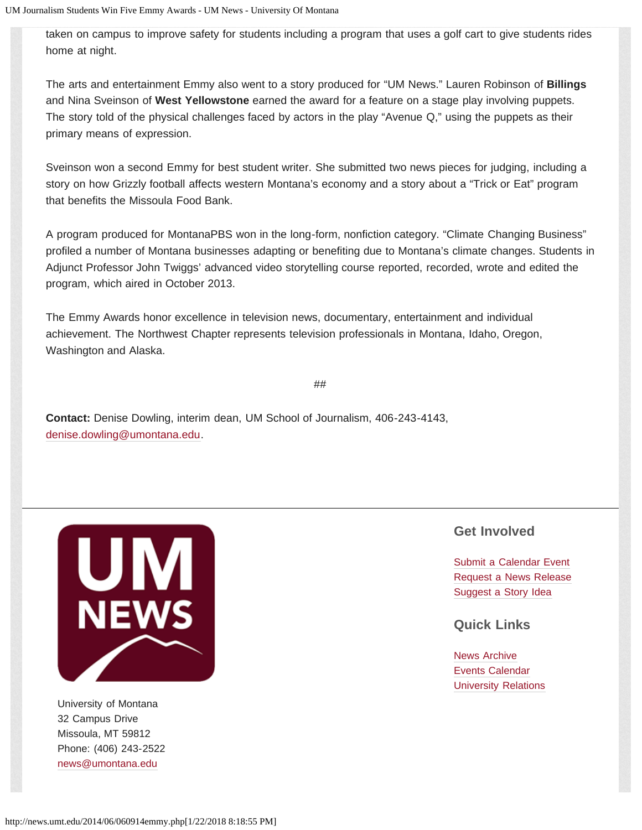taken on campus to improve safety for students including a program that uses a golf cart to give students rides home at night.

The arts and entertainment Emmy also went to a story produced for "UM News." Lauren Robinson of **Billings** and Nina Sveinson of **West Yellowstone** earned the award for a feature on a stage play involving puppets. The story told of the physical challenges faced by actors in the play "Avenue Q," using the puppets as their primary means of expression.

Sveinson won a second Emmy for best student writer. She submitted two news pieces for judging, including a story on how Grizzly football affects western Montana's economy and a story about a "Trick or Eat" program that benefits the Missoula Food Bank.

A program produced for MontanaPBS won in the long-form, nonfiction category. "Climate Changing Business" profiled a number of Montana businesses adapting or benefiting due to Montana's climate changes. Students in Adjunct Professor John Twiggs' advanced video storytelling course reported, recorded, wrote and edited the program, which aired in October 2013.

The Emmy Awards honor excellence in television news, documentary, entertainment and individual achievement. The Northwest Chapter represents television professionals in Montana, Idaho, Oregon, Washington and Alaska.

##

**Contact:** Denise Dowling, interim dean, UM School of Journalism, 406-243-4143, [denise.dowling@umontana.edu.](mailto:denise.dowling@umontana.edu)



University of Montana 32 Campus Drive Missoula, MT 59812 Phone: (406) 243-2522 [news@umontana.edu](mailto:news@umontana.edu)

#### **Get Involved**

[Submit a Calendar Event](http://umt.edu/urelations/info/submit_event.php) [Request a News Release](mailto:news@umontana.edu) [Suggest a Story Idea](mailto:thrive@umontana.edu)

### **Quick Links**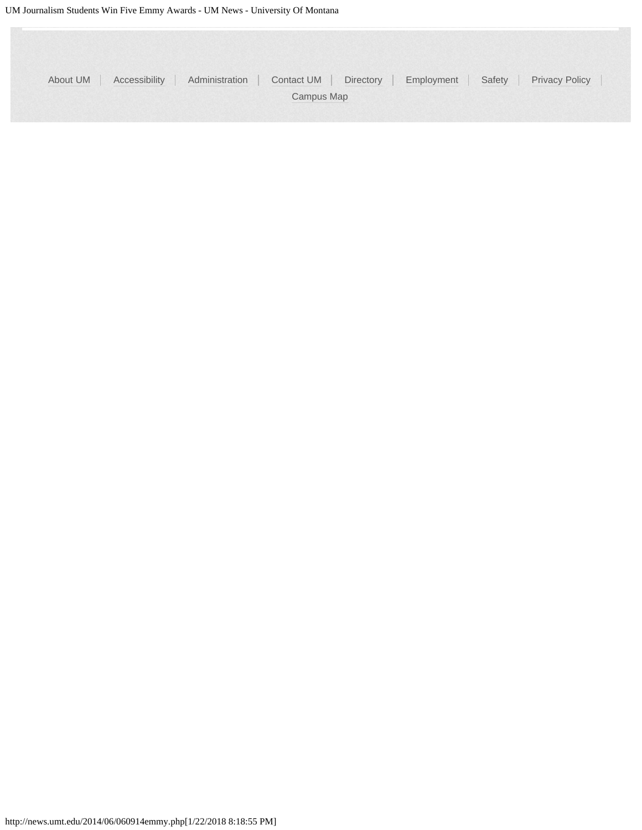| About UM | Accessibility | Administration | Contact UM Directory | Employment | Safety | <b>Privacy Policy</b> |
|----------|---------------|----------------|----------------------|------------|--------|-----------------------|
|          |               |                | Campus Map           |            |        |                       |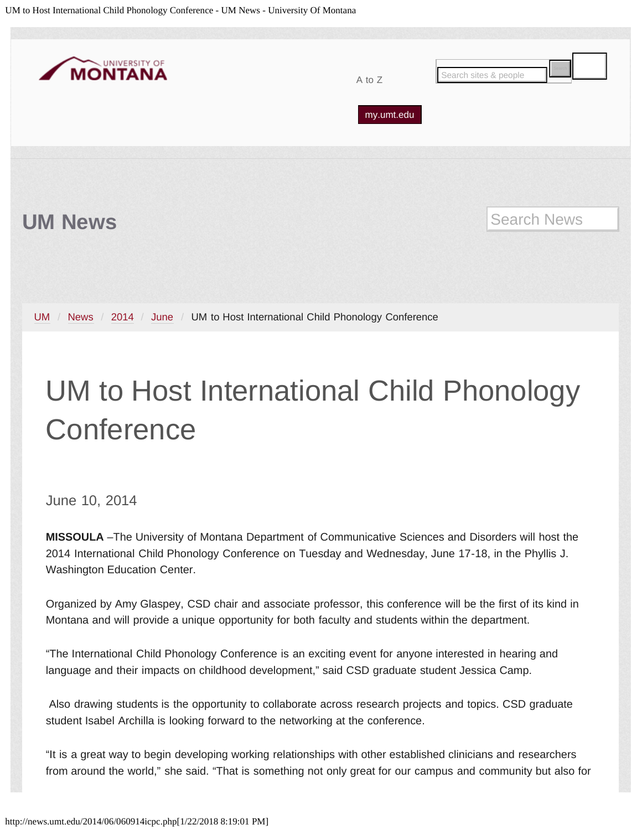<span id="page-39-0"></span>

## UM to Host International Child Phonology **Conference**

June 10, 2014

**MISSOULA** –The University of Montana Department of Communicative Sciences and Disorders will host the 2014 International Child Phonology Conference on Tuesday and Wednesday, June 17-18, in the Phyllis J. Washington Education Center.

Organized by Amy Glaspey, CSD chair and associate professor, this conference will be the first of its kind in Montana and will provide a unique opportunity for both faculty and students within the department.

"The International Child Phonology Conference is an exciting event for anyone interested in hearing and language and their impacts on childhood development," said CSD graduate student Jessica Camp.

Also drawing students is the opportunity to collaborate across research projects and topics. CSD graduate student Isabel Archilla is looking forward to the networking at the conference.

"It is a great way to begin developing working relationships with other established clinicians and researchers from around the world," she said. "That is something not only great for our campus and community but also for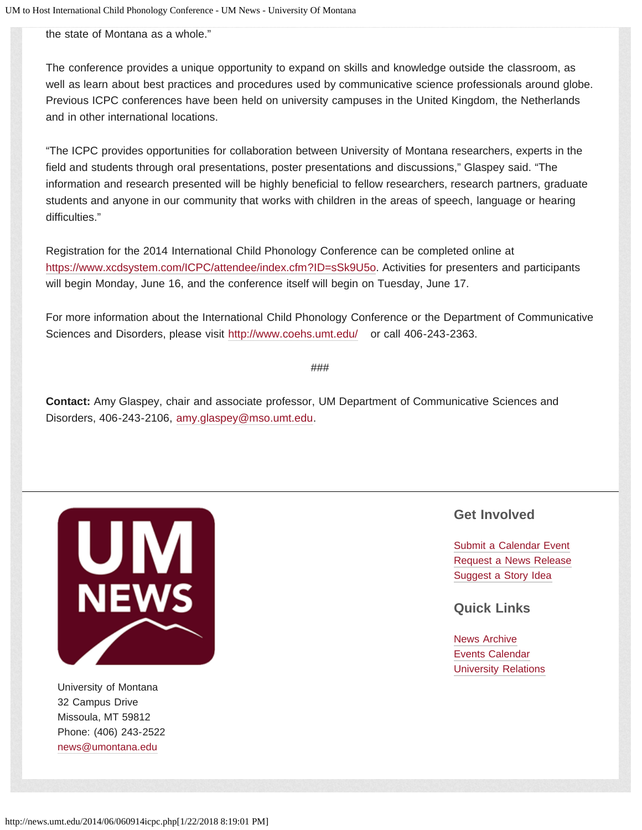the state of Montana as a whole."

The conference provides a unique opportunity to expand on skills and knowledge outside the classroom, as well as learn about best practices and procedures used by communicative science professionals around globe. Previous ICPC conferences have been held on university campuses in the United Kingdom, the Netherlands and in other international locations.

"The ICPC provides opportunities for collaboration between University of Montana researchers, experts in the field and students through oral presentations, poster presentations and discussions," Glaspey said. "The information and research presented will be highly beneficial to fellow researchers, research partners, graduate students and anyone in our community that works with children in the areas of speech, language or hearing difficulties."

Registration for the 2014 International Child Phonology Conference can be completed online at [https://www.xcdsystem.com/ICPC/attendee/index.cfm?ID=sSk9U5o.](https://www.xcdsystem.com/ICPC/attendee/index.cfm?ID=sSk9U5o) Activities for presenters and participants will begin Monday, June 16, and the conference itself will begin on Tuesday, June 17.

For more information about the International Child Phonology Conference or the Department of Communicative Sciences and Disorders, please visit <http://www.coehs.umt.edu/>or call 406-243-2363.

###

**Contact:** Amy Glaspey, chair and associate professor, UM Department of Communicative Sciences and Disorders, 406-243-2106, [amy.glaspey@mso.umt.edu.](mailto:amy.glaspey@mso.umt.edu)



University of Montana 32 Campus Drive Missoula, MT 59812 Phone: (406) 243-2522 [news@umontana.edu](mailto:news@umontana.edu)

#### **Get Involved**

[Submit a Calendar Event](http://umt.edu/urelations/info/submit_event.php) [Request a News Release](mailto:news@umontana.edu) [Suggest a Story Idea](mailto:thrive@umontana.edu)

**Quick Links**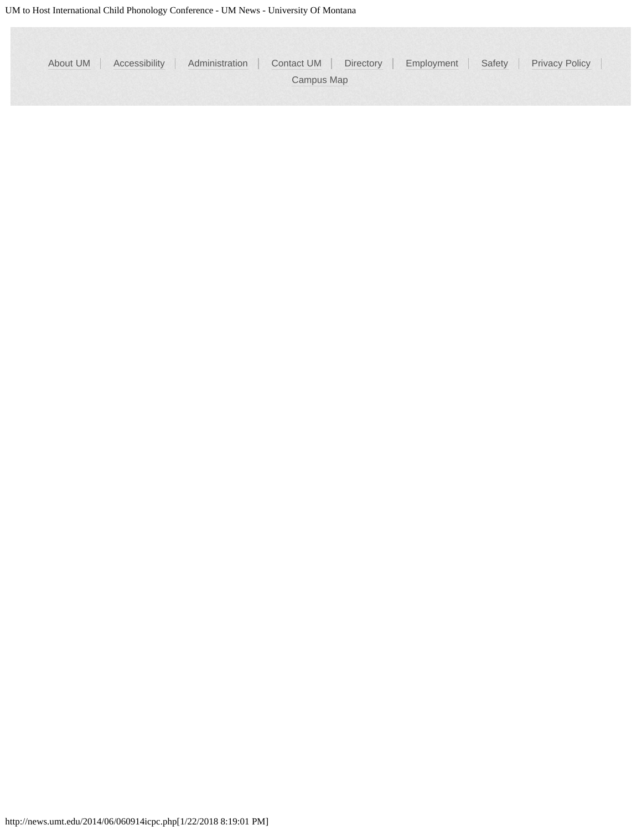| About UM | Accessibility Administration Contact UM Directory Employment Safety Privacy Policy |            |  |  |
|----------|------------------------------------------------------------------------------------|------------|--|--|
|          |                                                                                    | Campus Map |  |  |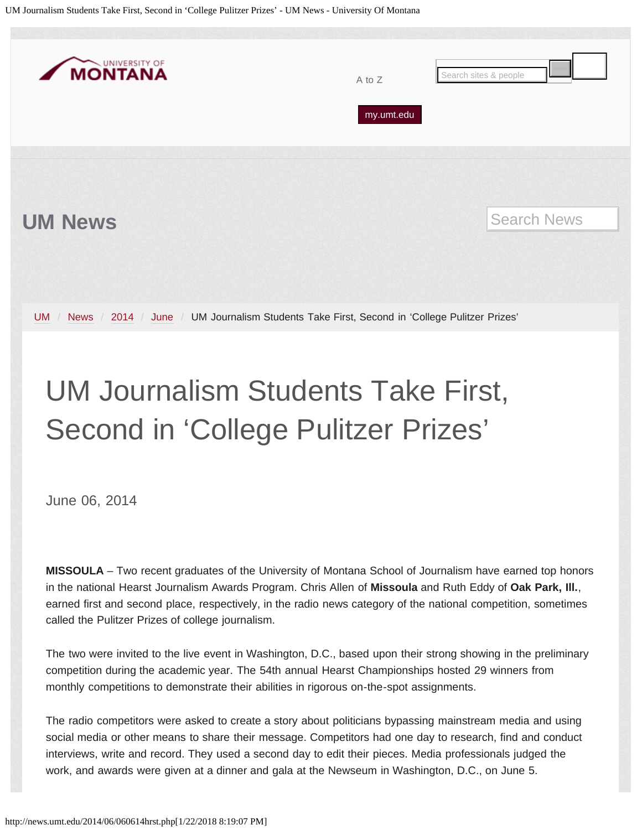<span id="page-42-0"></span>UM Journalism Students Take First, Second in 'College Pulitzer Prizes' - UM News - University Of Montana



## UM Journalism Students Take First, Second in 'College Pulitzer Prizes'

June 06, 2014

**MISSOULA** – Two recent graduates of the University of Montana School of Journalism have earned top honors in the national Hearst Journalism Awards Program. Chris Allen of **Missoula** and Ruth Eddy of **Oak Park, Ill.**, earned first and second place, respectively, in the radio news category of the national competition, sometimes called the Pulitzer Prizes of college journalism.

The two were invited to the live event in Washington, D.C., based upon their strong showing in the preliminary competition during the academic year. The 54th annual Hearst Championships hosted 29 winners from monthly competitions to demonstrate their abilities in rigorous on-the-spot assignments.

The radio competitors were asked to create a story about politicians bypassing mainstream media and using social media or other means to share their message. Competitors had one day to research, find and conduct interviews, write and record. They used a second day to edit their pieces. Media professionals judged the work, and awards were given at a dinner and gala at the Newseum in Washington, D.C., on June 5.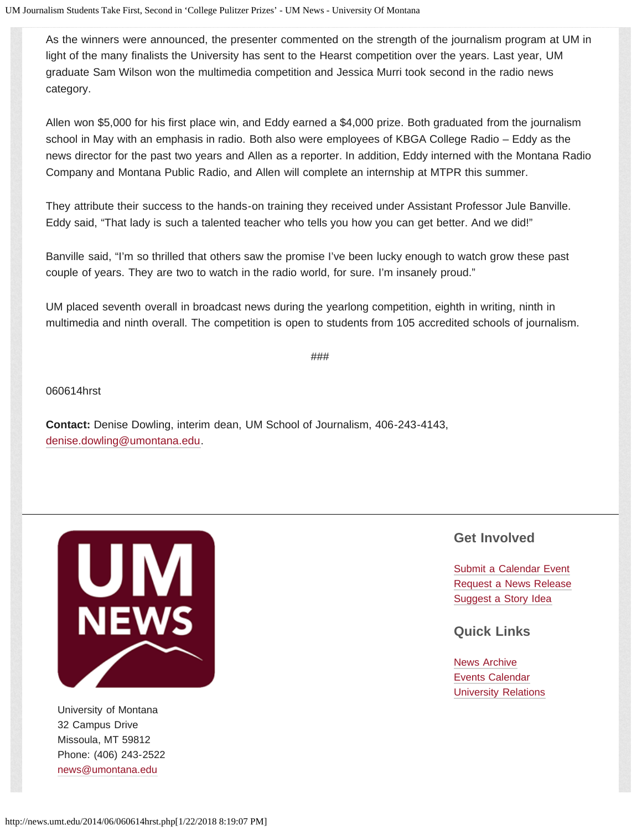As the winners were announced, the presenter commented on the strength of the journalism program at UM in light of the many finalists the University has sent to the Hearst competition over the years. Last year, UM graduate Sam Wilson won the multimedia competition and Jessica Murri took second in the radio news category.

Allen won \$5,000 for his first place win, and Eddy earned a \$4,000 prize. Both graduated from the journalism school in May with an emphasis in radio. Both also were employees of KBGA College Radio – Eddy as the news director for the past two years and Allen as a reporter. In addition, Eddy interned with the Montana Radio Company and Montana Public Radio, and Allen will complete an internship at MTPR this summer.

They attribute their success to the hands-on training they received under Assistant Professor Jule Banville. Eddy said, "That lady is such a talented teacher who tells you how you can get better. And we did!"

Banville said, "I'm so thrilled that others saw the promise I've been lucky enough to watch grow these past couple of years. They are two to watch in the radio world, for sure. I'm insanely proud."

UM placed seventh overall in broadcast news during the yearlong competition, eighth in writing, ninth in multimedia and ninth overall. The competition is open to students from 105 accredited schools of journalism.

###

060614hrst

**Contact:** Denise Dowling, interim dean, UM School of Journalism, 406-243-4143, [denise.dowling@umontana.edu.](mailto:denise.dowling@umontana.edu)



University of Montana 32 Campus Drive Missoula, MT 59812 Phone: (406) 243-2522 [news@umontana.edu](mailto:news@umontana.edu)

### **Get Involved**

[Submit a Calendar Event](http://umt.edu/urelations/info/submit_event.php) [Request a News Release](mailto:news@umontana.edu) [Suggest a Story Idea](mailto:thrive@umontana.edu)

### **Quick Links**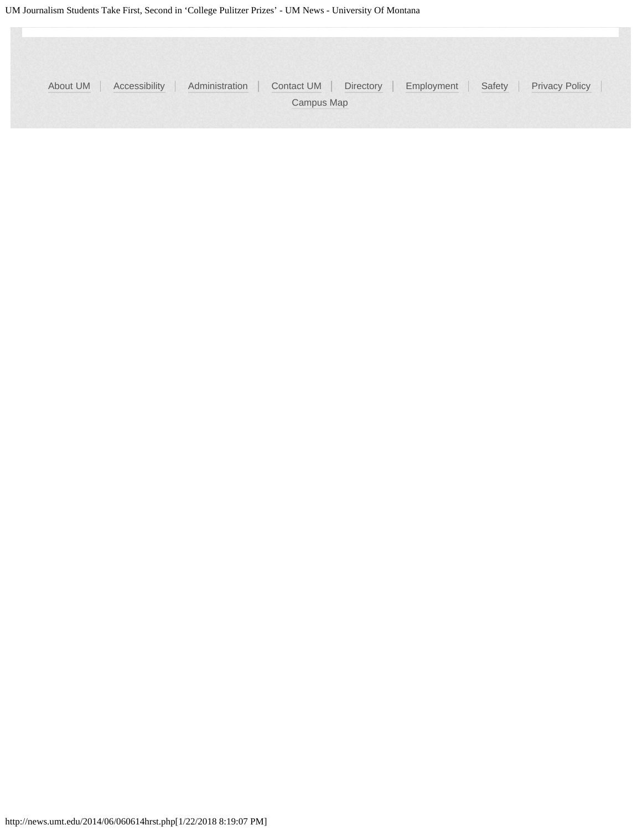| About UM<br>Accessibility | Administration<br>Contact UM<br>Directory | <b>Privacy Policy</b><br>Safety<br>Employment |
|---------------------------|-------------------------------------------|-----------------------------------------------|
|                           | Campus Map                                |                                               |
|                           |                                           |                                               |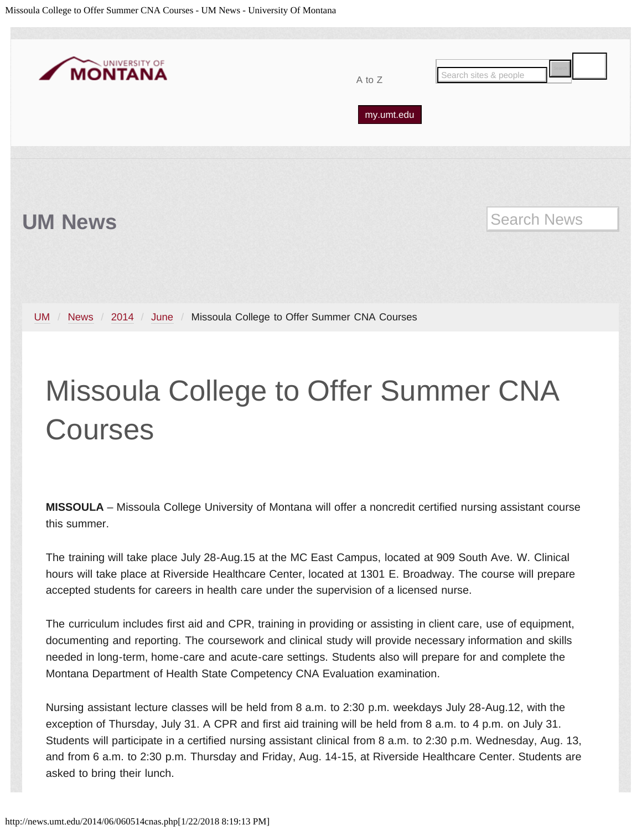<span id="page-45-0"></span>

## Missoula College to Offer Summer CNA Courses

**MISSOULA** – Missoula College University of Montana will offer a noncredit certified nursing assistant course this summer.

The training will take place July 28-Aug.15 at the MC East Campus, located at 909 South Ave. W. Clinical hours will take place at Riverside Healthcare Center, located at 1301 E. Broadway. The course will prepare accepted students for careers in health care under the supervision of a licensed nurse.

The curriculum includes first aid and CPR, training in providing or assisting in client care, use of equipment, documenting and reporting. The coursework and clinical study will provide necessary information and skills needed in long-term, home-care and acute-care settings. Students also will prepare for and complete the Montana Department of Health State Competency CNA Evaluation examination.

Nursing assistant lecture classes will be held from 8 a.m. to 2:30 p.m. weekdays July 28-Aug.12, with the exception of Thursday, July 31. A CPR and first aid training will be held from 8 a.m. to 4 p.m. on July 31. Students will participate in a certified nursing assistant clinical from 8 a.m. to 2:30 p.m. Wednesday, Aug. 13, and from 6 a.m. to 2:30 p.m. Thursday and Friday, Aug. 14-15, at Riverside Healthcare Center. Students are asked to bring their lunch.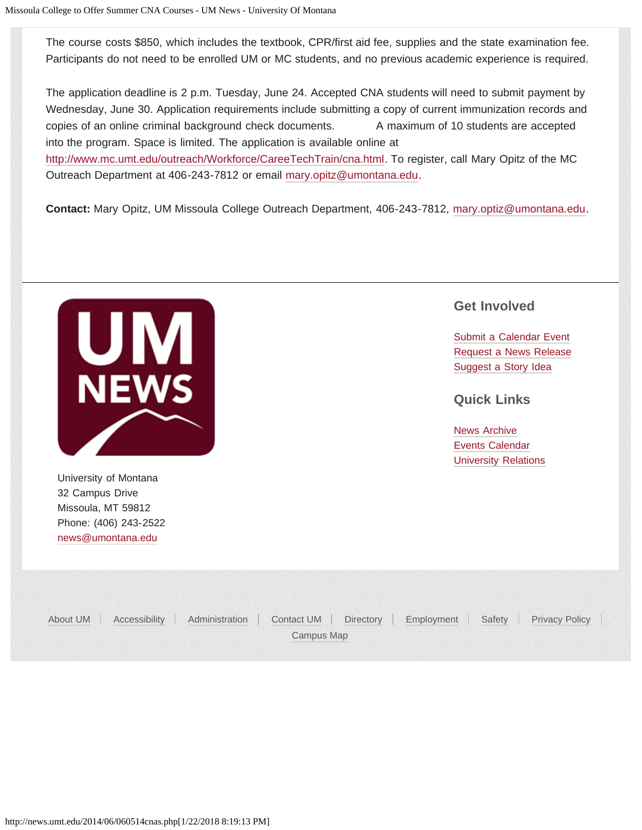The course costs \$850, which includes the textbook, CPR/first aid fee, supplies and the state examination fee. Participants do not need to be enrolled UM or MC students, and no previous academic experience is required.

The application deadline is 2 p.m. Tuesday, June 24. Accepted CNA students will need to submit payment by Wednesday, June 30. Application requirements include submitting a copy of current immunization records and copies of an online criminal background check documents. A maximum of 10 students are accepted into the program. Space is limited. The application is available online at <http://www.mc.umt.edu/outreach/Workforce/CareeTechTrain/cna.html>. To register, call Mary Opitz of the MC Outreach Department at 406-243-7812 or email [mary.opitz@umontana.edu.](mailto:mary.opitz@umontana.edu)

**Contact:** Mary Opitz, UM Missoula College Outreach Department, 406-243-7812, [mary.optiz@umontana.edu.](mailto:mary.optiz@umontana.edu)



University of Montana 32 Campus Drive Missoula, MT 59812 Phone: (406) 243-2522 [news@umontana.edu](mailto:news@umontana.edu)

### **Get Involved**

[Submit a Calendar Event](http://umt.edu/urelations/info/submit_event.php) [Request a News Release](mailto:news@umontana.edu) [Suggest a Story Idea](mailto:thrive@umontana.edu)

**Quick Links**

[News Archive](http://www.umt.edu/urelations/pubs/NewsArchives.php) [Events Calendar](http://events.umt.edu/) [University Relations](http://www.umt.edu/urelations/)

[About UM](http://www.umt.edu/about) | [Accessibility](http://www.umt.edu/accessibility/) | [Administration](http://www.umt.edu/administration) | [Contact UM](http://www.umt.edu/comments) | [Directory](http://www.umt.edu/directory) | [Employment](http://www.umt.edu/jobs) | [Safety](http://www.umt.edu/safety/) | [Privacy Policy](http://umt.edu/privacy/) [Campus Map](http://map.umt.edu/)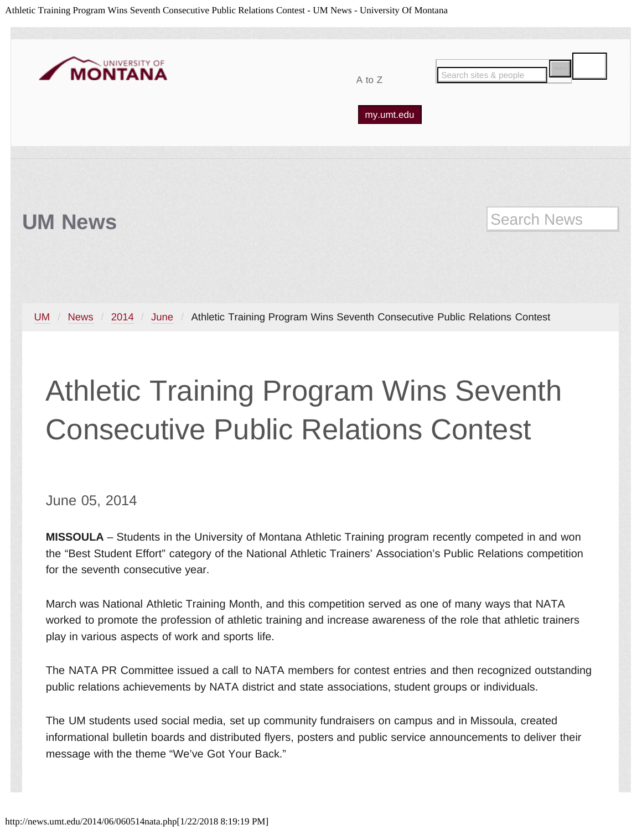<span id="page-47-0"></span>Athletic Training Program Wins Seventh Consecutive Public Relations Contest - UM News - University Of Montana



## Athletic Training Program Wins Seventh Consecutive Public Relations Contest

June 05, 2014

**MISSOULA** – Students in the University of Montana Athletic Training program recently competed in and won the "Best Student Effort" category of the National Athletic Trainers' Association's Public Relations competition for the seventh consecutive year.

March was National Athletic Training Month, and this competition served as one of many ways that NATA worked to promote the profession of athletic training and increase awareness of the role that athletic trainers play in various aspects of work and sports life.

The NATA PR Committee issued a call to NATA members for contest entries and then recognized outstanding public relations achievements by NATA district and state associations, student groups or individuals.

The UM students used social media, set up community fundraisers on campus and in Missoula, created informational bulletin boards and distributed flyers, posters and public service announcements to deliver their message with the theme "We've Got Your Back."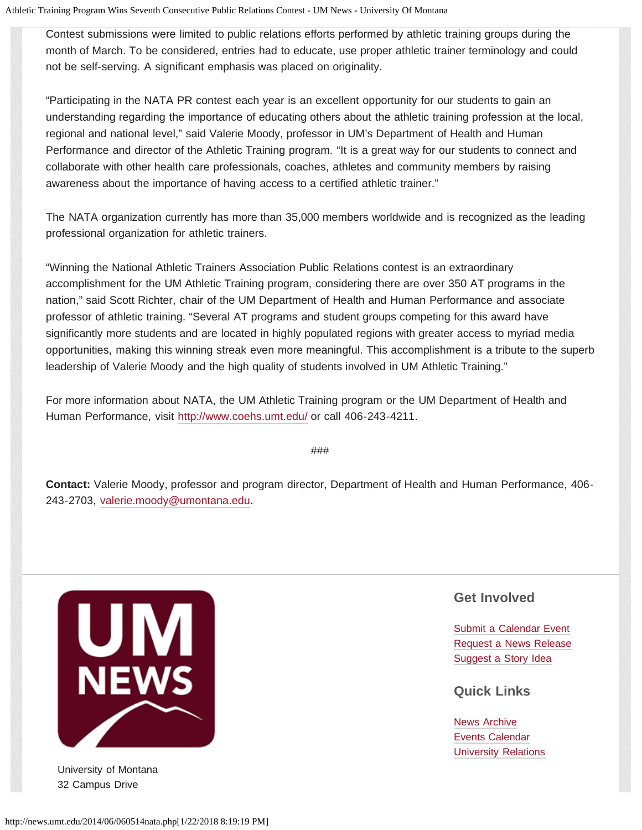Contest submissions were limited to public relations efforts performed by athletic training groups during the month of March. To be considered, entries had to educate, use proper athletic trainer terminology and could not be self-serving. A significant emphasis was placed on originality.

"Participating in the NATA PR contest each year is an excellent opportunity for our students to gain an understanding regarding the importance of educating others about the athletic training profession at the local, regional and national level," said Valerie Moody, professor in UM's Department of Health and Human Performance and director of the Athletic Training program. "It is a great way for our students to connect and collaborate with other health care professionals, coaches, athletes and community members by raising awareness about the importance of having access to a certified athletic trainer."

The NATA organization currently has more than 35,000 members worldwide and is recognized as the leading professional organization for athletic trainers.

"Winning the National Athletic Trainers Association Public Relations contest is an extraordinary accomplishment for the UM Athletic Training program, considering there are over 350 AT programs in the nation," said Scott Richter, chair of the UM Department of Health and Human Performance and associate professor of athletic training. "Several AT programs and student groups competing for this award have significantly more students and are located in highly populated regions with greater access to myriad media opportunities, making this winning streak even more meaningful. This accomplishment is a tribute to the superb leadership of Valerie Moody and the high quality of students involved in UM Athletic Training."

For more information about NATA, the UM Athletic Training program or the UM Department of Health and Human Performance, visit <http://www.coehs.umt.edu/>or call 406-243-4211.

###

**Contact:** Valerie Moody, professor and program director, Department of Health and Human Performance, 406- 243-2703, [valerie.moody@umontana.edu.](mailto:valerie.moody@umontana.edu)



University of Montana 32 Campus Drive

## **Get Involved**

[Submit a Calendar Event](http://umt.edu/urelations/info/submit_event.php) [Request a News Release](mailto:news@umontana.edu) [Suggest a Story Idea](mailto:thrive@umontana.edu)

## **Quick Links**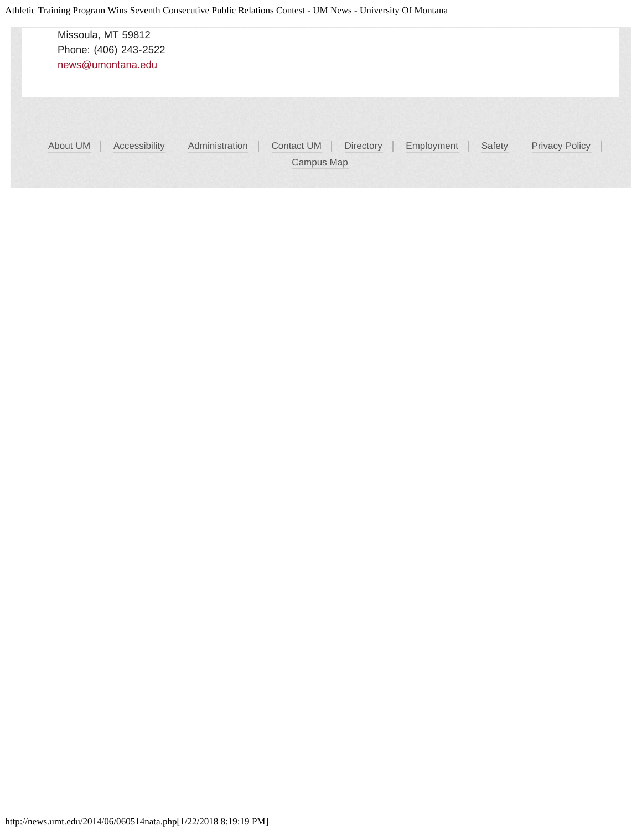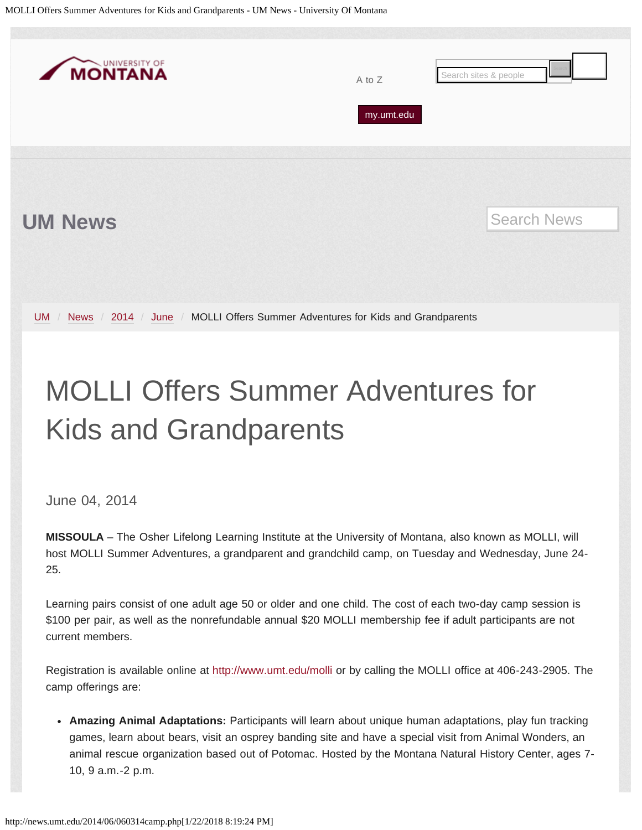<span id="page-50-0"></span>

## MOLLI Offers Summer Adventures for Kids and Grandparents

June 04, 2014

**MISSOULA** – The Osher Lifelong Learning Institute at the University of Montana, also known as MOLLI, will host MOLLI Summer Adventures, a grandparent and grandchild camp, on Tuesday and Wednesday, June 24- 25.

Learning pairs consist of one adult age 50 or older and one child. The cost of each two-day camp session is \$100 per pair, as well as the nonrefundable annual \$20 MOLLI membership fee if adult participants are not current members.

Registration is available online at <http://www.umt.edu/molli>or by calling the MOLLI office at 406-243-2905. The camp offerings are:

**Amazing Animal Adaptations:** Participants will learn about unique human adaptations, play fun tracking games, learn about bears, visit an osprey banding site and have a special visit from Animal Wonders, an animal rescue organization based out of Potomac. Hosted by the Montana Natural History Center, ages 7- 10, 9 a.m.-2 p.m.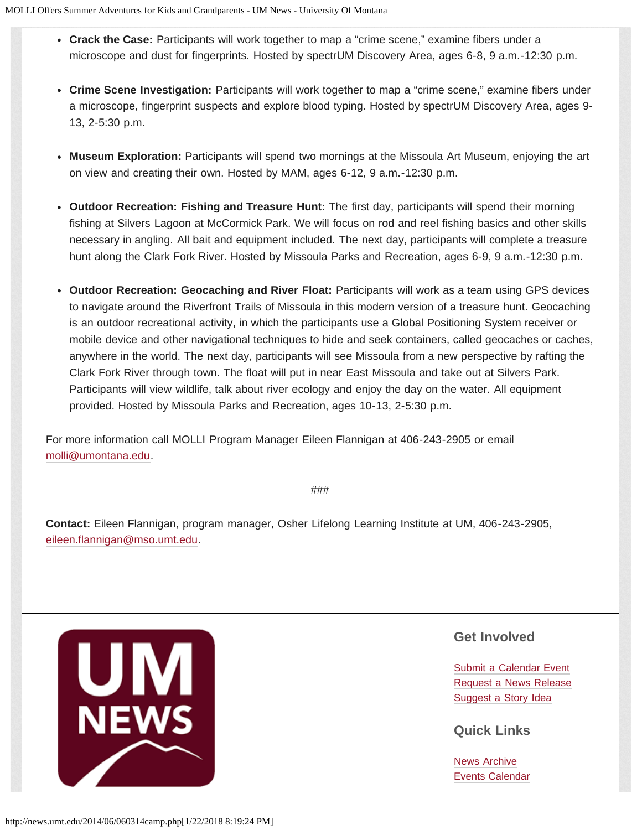- **Crack the Case:** Participants will work together to map a "crime scene," examine fibers under a microscope and dust for fingerprints. Hosted by spectrUM Discovery Area, ages 6-8, 9 a.m.-12:30 p.m.
- **Crime Scene Investigation:** Participants will work together to map a "crime scene," examine fibers under a microscope, fingerprint suspects and explore blood typing. Hosted by spectrUM Discovery Area, ages 9- 13, 2-5:30 p.m.
- **Museum Exploration:** Participants will spend two mornings at the Missoula Art Museum, enjoying the art on view and creating their own. Hosted by MAM, ages 6-12, 9 a.m.-12:30 p.m.
- **Outdoor Recreation: Fishing and Treasure Hunt:** The first day, participants will spend their morning fishing at Silvers Lagoon at McCormick Park. We will focus on rod and reel fishing basics and other skills necessary in angling. All bait and equipment included. The next day, participants will complete a treasure hunt along the Clark Fork River. Hosted by Missoula Parks and Recreation, ages 6-9, 9 a.m.-12:30 p.m.
- **Outdoor Recreation: Geocaching and River Float:** Participants will work as a team using GPS devices to navigate around the Riverfront Trails of Missoula in this modern version of a treasure hunt. Geocaching is an outdoor recreational activity, in which the participants use a Global Positioning System receiver or mobile device and other navigational techniques to hide and seek containers, called geocaches or caches, anywhere in the world. The next day, participants will see Missoula from a new perspective by rafting the Clark Fork River through town. The float will put in near East Missoula and take out at Silvers Park. Participants will view wildlife, talk about river ecology and enjoy the day on the water. All equipment provided. Hosted by Missoula Parks and Recreation, ages 10-13, 2-5:30 p.m.

For more information call MOLLI Program Manager Eileen Flannigan at 406-243-2905 or email [molli@umontana.edu.](mailto:molli@umontana.edu)

###

**Contact:** Eileen Flannigan, program manager, Osher Lifelong Learning Institute at UM, 406-243-2905, [eileen.flannigan@mso.umt.edu.](mailto:eileen.flannigan@mso.umt.edu)



#### **Get Involved**

[Submit a Calendar Event](http://umt.edu/urelations/info/submit_event.php) [Request a News Release](mailto:news@umontana.edu) [Suggest a Story Idea](mailto:thrive@umontana.edu)

### **Quick Links**

[News Archive](http://www.umt.edu/urelations/pubs/NewsArchives.php) [Events Calendar](http://events.umt.edu/)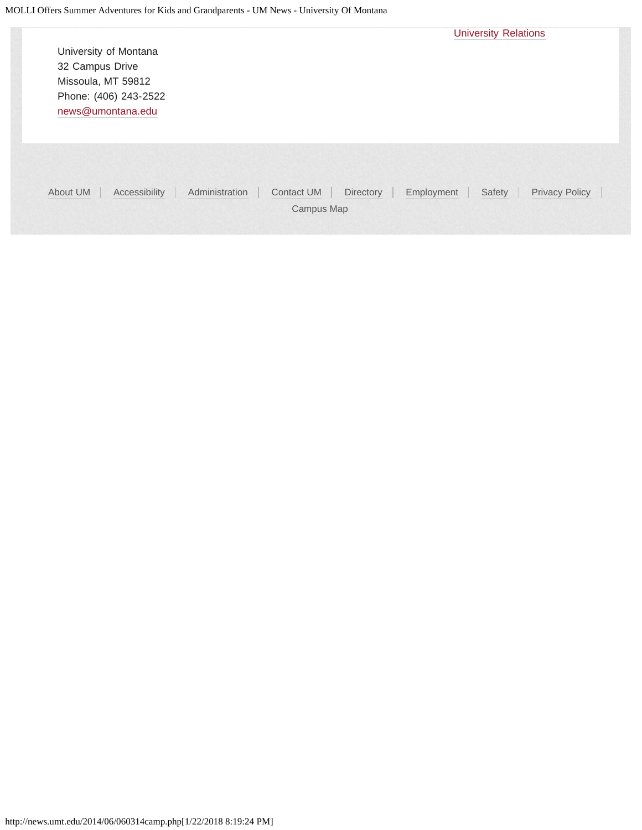[University Relations](http://www.umt.edu/urelations/)

University of Montana 32 Campus Drive Missoula, MT 59812 Phone: (406) 243-2522 [news@umontana.edu](mailto:news@umontana.edu)

|  | About UM   Accessibility   Administration   Contact UM   Directory   Employment   Safety   Privacy Policy |            |  |  |
|--|-----------------------------------------------------------------------------------------------------------|------------|--|--|
|  |                                                                                                           | Campus Map |  |  |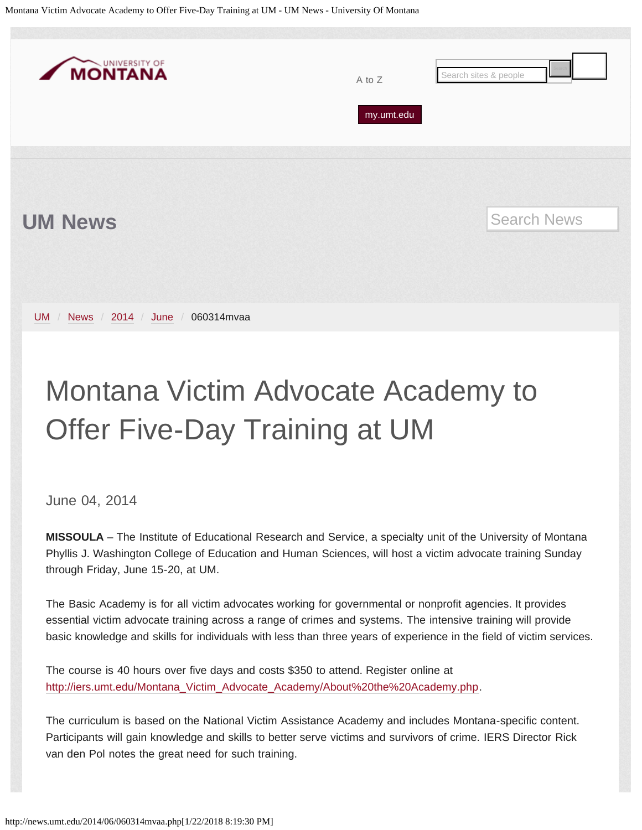<span id="page-53-0"></span>Montana Victim Advocate Academy to Offer Five-Day Training at UM - UM News - University Of Montana



## Montana Victim Advocate Academy to Offer Five-Day Training at UM

June 04, 2014

**MISSOULA** – The Institute of Educational Research and Service, a specialty unit of the University of Montana Phyllis J. Washington College of Education and Human Sciences, will host a victim advocate training Sunday through Friday, June 15-20, at UM.

The Basic Academy is for all victim advocates working for governmental or nonprofit agencies. It provides essential victim advocate training across a range of crimes and systems. The intensive training will provide basic knowledge and skills for individuals with less than three years of experience in the field of victim services.

The course is 40 hours over five days and costs \$350 to attend. Register online at [http://iers.umt.edu/Montana\\_Victim\\_Advocate\\_Academy/About%20the%20Academy.php.](http://iers.umt.edu/Montana_Victim_Advocate_Academy/About%20the%20Academy.php)

The curriculum is based on the National Victim Assistance Academy and includes Montana-specific content. Participants will gain knowledge and skills to better serve victims and survivors of crime. IERS Director Rick van den Pol notes the great need for such training.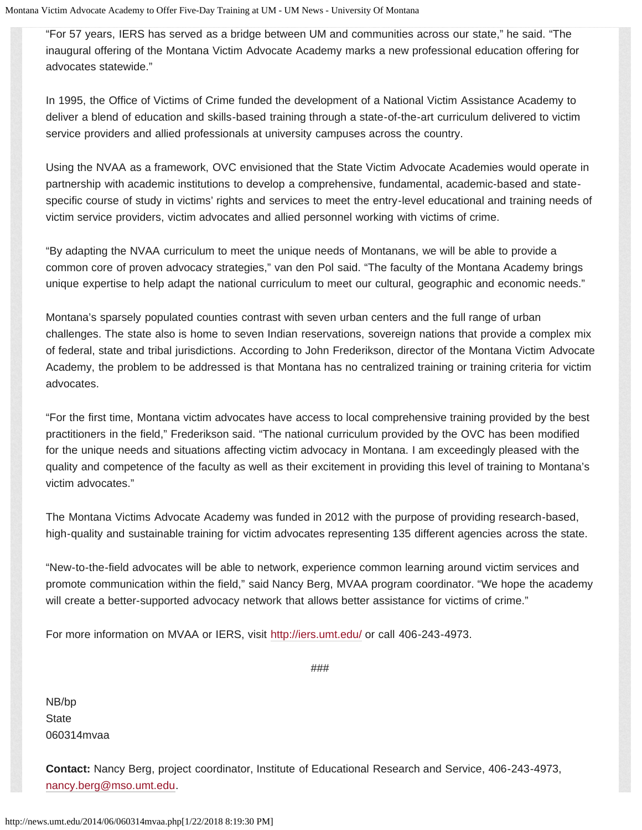"For 57 years, IERS has served as a bridge between UM and communities across our state," he said. "The inaugural offering of the Montana Victim Advocate Academy marks a new professional education offering for advocates statewide."

In 1995, the Office of Victims of Crime funded the development of a National Victim Assistance Academy to deliver a blend of education and skills-based training through a state-of-the-art curriculum delivered to victim service providers and allied professionals at university campuses across the country.

Using the NVAA as a framework, OVC envisioned that the State Victim Advocate Academies would operate in partnership with academic institutions to develop a comprehensive, fundamental, academic-based and statespecific course of study in victims' rights and services to meet the entry-level educational and training needs of victim service providers, victim advocates and allied personnel working with victims of crime.

"By adapting the NVAA curriculum to meet the unique needs of Montanans, we will be able to provide a common core of proven advocacy strategies," van den Pol said. "The faculty of the Montana Academy brings unique expertise to help adapt the national curriculum to meet our cultural, geographic and economic needs."

Montana's sparsely populated counties contrast with seven urban centers and the full range of urban challenges. The state also is home to seven Indian reservations, sovereign nations that provide a complex mix of federal, state and tribal jurisdictions. According to John Frederikson, director of the Montana Victim Advocate Academy, the problem to be addressed is that Montana has no centralized training or training criteria for victim advocates.

"For the first time, Montana victim advocates have access to local comprehensive training provided by the best practitioners in the field," Frederikson said. "The national curriculum provided by the OVC has been modified for the unique needs and situations affecting victim advocacy in Montana. I am exceedingly pleased with the quality and competence of the faculty as well as their excitement in providing this level of training to Montana's victim advocates."

The Montana Victims Advocate Academy was funded in 2012 with the purpose of providing research-based, high-quality and sustainable training for victim advocates representing 135 different agencies across the state.

"New-to-the-field advocates will be able to network, experience common learning around victim services and promote communication within the field," said Nancy Berg, MVAA program coordinator. "We hope the academy will create a better-supported advocacy network that allows better assistance for victims of crime."

###

For more information on MVAA or IERS, visit<http://iers.umt.edu/> or call 406-243-4973.

NB/bp **State** 060314mvaa

**Contact:** Nancy Berg, project coordinator, Institute of Educational Research and Service, 406-243-4973, [nancy.berg@mso.umt.edu.](mailto:nancy.berg@mso.umt.edu)